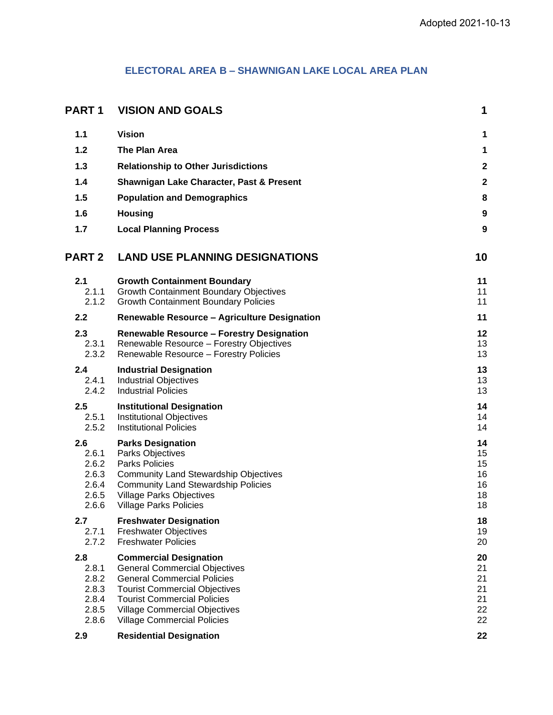# **ELECTORAL AREA B – SHAWNIGAN LAKE LOCAL AREA PLAN**

| <b>PART1</b>                                              | <b>VISION AND GOALS</b>                                                                                                                                                                                                                                                 | 1                                      |
|-----------------------------------------------------------|-------------------------------------------------------------------------------------------------------------------------------------------------------------------------------------------------------------------------------------------------------------------------|----------------------------------------|
| 1.1                                                       | <b>Vision</b>                                                                                                                                                                                                                                                           | 1                                      |
| $1.2$                                                     | The Plan Area                                                                                                                                                                                                                                                           | 1                                      |
| 1.3                                                       | <b>Relationship to Other Jurisdictions</b>                                                                                                                                                                                                                              | $\overline{\mathbf{c}}$                |
| 1.4                                                       | Shawnigan Lake Character, Past & Present                                                                                                                                                                                                                                | $\overline{\mathbf{c}}$                |
| 1.5                                                       | <b>Population and Demographics</b>                                                                                                                                                                                                                                      | 8                                      |
| 1.6                                                       | <b>Housing</b>                                                                                                                                                                                                                                                          | 9                                      |
| 1.7                                                       | <b>Local Planning Process</b>                                                                                                                                                                                                                                           | 9                                      |
| <b>PART 2</b>                                             | <b>LAND USE PLANNING DESIGNATIONS</b>                                                                                                                                                                                                                                   | 10                                     |
| 2.1<br>2.1.1<br>2.1.2                                     | <b>Growth Containment Boundary</b><br><b>Growth Containment Boundary Objectives</b><br><b>Growth Containment Boundary Policies</b>                                                                                                                                      | 11<br>11<br>11                         |
| 2.2                                                       | <b>Renewable Resource - Agriculture Designation</b>                                                                                                                                                                                                                     | 11                                     |
| 2.3<br>2.3.1<br>2.3.2                                     | <b>Renewable Resource - Forestry Designation</b><br>Renewable Resource - Forestry Objectives<br>Renewable Resource - Forestry Policies                                                                                                                                  | 12<br>13<br>13                         |
| 2.4<br>2.4.1<br>2.4.2                                     | <b>Industrial Designation</b><br><b>Industrial Objectives</b><br><b>Industrial Policies</b>                                                                                                                                                                             | 13<br>13<br>13                         |
| 2.5<br>2.5.1<br>2.5.2                                     | <b>Institutional Designation</b><br><b>Institutional Objectives</b><br><b>Institutional Policies</b>                                                                                                                                                                    | 14<br>14<br>14                         |
| 2.6<br>2.6.1<br>2.6.2<br>2.6.3<br>2.6.4<br>2.6.5<br>2.6.6 | <b>Parks Designation</b><br><b>Parks Objectives</b><br><b>Parks Policies</b><br><b>Community Land Stewardship Objectives</b><br><b>Community Land Stewardship Policies</b><br><b>Village Parks Objectives</b><br><b>Village Parks Policies</b>                          | 14<br>15<br>15<br>16<br>16<br>18<br>18 |
| 2.7<br>2.7.1<br>2.7.2                                     | <b>Freshwater Designation</b><br><b>Freshwater Objectives</b><br><b>Freshwater Policies</b>                                                                                                                                                                             | 18<br>19<br>20                         |
| 2.8<br>2.8.1<br>2.8.2<br>2.8.3<br>2.8.4<br>2.8.5<br>2.8.6 | <b>Commercial Designation</b><br><b>General Commercial Objectives</b><br><b>General Commercial Policies</b><br><b>Tourist Commercial Objectives</b><br><b>Tourist Commercial Policies</b><br><b>Village Commercial Objectives</b><br><b>Village Commercial Policies</b> | 20<br>21<br>21<br>21<br>21<br>22<br>22 |
| 2.9                                                       | <b>Residential Designation</b>                                                                                                                                                                                                                                          | 22                                     |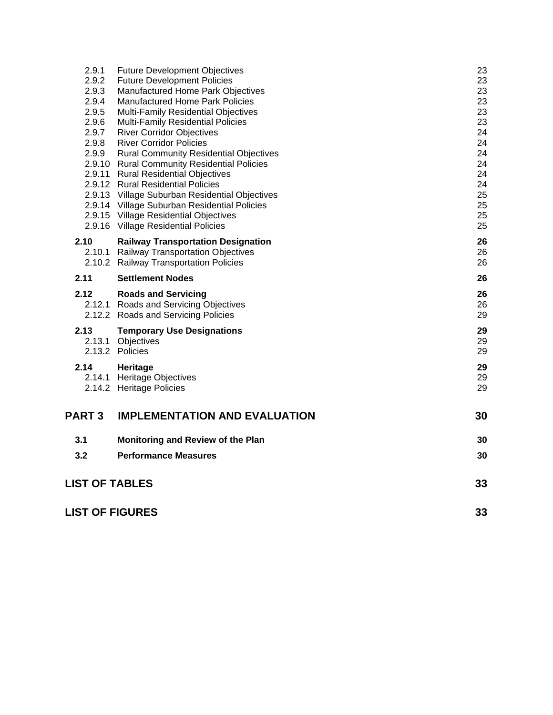|                       | <b>Future Development Objectives</b>                                                  | 23       |
|-----------------------|---------------------------------------------------------------------------------------|----------|
| 2.9.2                 | <b>Future Development Policies</b>                                                    | 23       |
| 2.9.3                 | Manufactured Home Park Objectives                                                     | 23       |
| 2.9.4                 | <b>Manufactured Home Park Policies</b>                                                | 23       |
| 2.9.5                 | Multi-Family Residential Objectives                                                   | 23       |
| 2.9.6                 | <b>Multi-Family Residential Policies</b>                                              | 23       |
| 2.9.7                 | <b>River Corridor Objectives</b>                                                      | 24       |
| 2.9.8                 | <b>River Corridor Policies</b>                                                        | 24       |
| 2.9.9                 | <b>Rural Community Residential Objectives</b>                                         | 24       |
|                       | 2.9.10 Rural Community Residential Policies                                           | 24       |
|                       | 2.9.11 Rural Residential Objectives                                                   | 24       |
|                       | 2.9.12 Rural Residential Policies                                                     | 24<br>25 |
|                       | 2.9.13 Village Suburban Residential Objectives                                        | 25       |
|                       | 2.9.14 Village Suburban Residential Policies<br>2.9.15 Village Residential Objectives | 25       |
|                       | 2.9.16 Village Residential Policies                                                   | 25       |
|                       |                                                                                       |          |
| 2.10                  | <b>Railway Transportation Designation</b>                                             | 26       |
|                       | 2.10.1 Railway Transportation Objectives                                              | 26       |
|                       | 2.10.2 Railway Transportation Policies                                                | 26       |
| 2.11                  | <b>Settlement Nodes</b>                                                               | 26       |
| 2.12                  | <b>Roads and Servicing</b>                                                            | 26       |
|                       | 2.12.1 Roads and Servicing Objectives                                                 | 26       |
|                       | 2.12.2 Roads and Servicing Policies                                                   | 29       |
| 2.13                  | <b>Temporary Use Designations</b>                                                     | 29       |
|                       | 2.13.1 Objectives                                                                     | 29       |
|                       |                                                                                       |          |
|                       | 2.13.2 Policies                                                                       | 29       |
|                       |                                                                                       |          |
| 2.14                  | Heritage                                                                              | 29       |
|                       | 2.14.1 Heritage Objectives                                                            | 29       |
|                       | 2.14.2 Heritage Policies                                                              | 29       |
| <b>PART3</b>          | <b>IMPLEMENTATION AND EVALUATION</b>                                                  | 30       |
| 3.1                   | Monitoring and Review of the Plan                                                     | 30       |
|                       |                                                                                       |          |
| 3.2                   | <b>Performance Measures</b>                                                           | 30       |
| <b>LIST OF TABLES</b> |                                                                                       | 33       |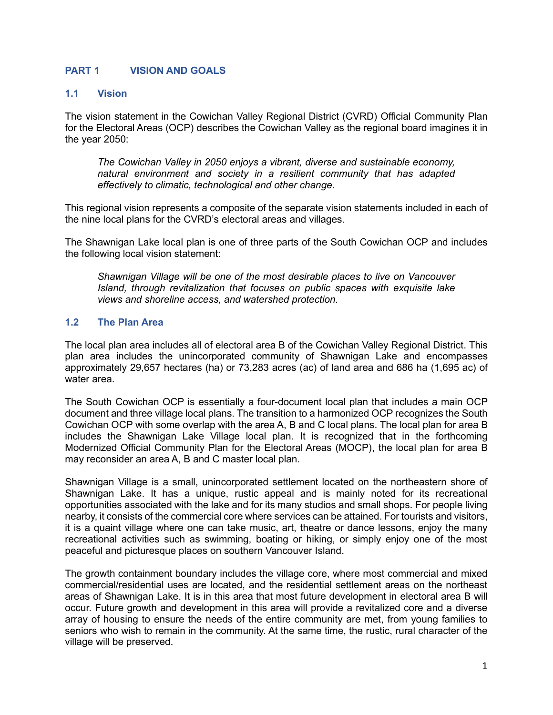## <span id="page-2-0"></span>**PART 1 VISION AND GOALS**

#### <span id="page-2-1"></span>**1.1 Vision**

The vision statement in the Cowichan Valley Regional District (CVRD) Official Community Plan for the Electoral Areas (OCP) describes the Cowichan Valley as the regional board imagines it in the year 2050:

*The Cowichan Valley in 2050 enjoys a vibrant, diverse and sustainable economy, natural environment and society in a resilient community that has adapted effectively to climatic, technological and other change.*

This regional vision represents a composite of the separate vision statements included in each of the nine local plans for the CVRD's electoral areas and villages.

The Shawnigan Lake local plan is one of three parts of the South Cowichan OCP and includes the following local vision statement:

*Shawnigan Village will be one of the most desirable places to live on Vancouver Island, through revitalization that focuses on public spaces with exquisite lake views and shoreline access, and watershed protection.*

## <span id="page-2-2"></span>**1.2 The Plan Area**

The local plan area includes all of electoral area B of the Cowichan Valley Regional District. This plan area includes the unincorporated community of Shawnigan Lake and encompasses approximately 29,657 hectares (ha) or 73,283 acres (ac) of land area and 686 ha (1,695 ac) of water area.

The South Cowichan OCP is essentially a four-document local plan that includes a main OCP document and three village local plans. The transition to a harmonized OCP recognizes the South Cowichan OCP with some overlap with the area A, B and C local plans. The local plan for area B includes the Shawnigan Lake Village local plan. It is recognized that in the forthcoming Modernized Official Community Plan for the Electoral Areas (MOCP), the local plan for area B may reconsider an area A, B and C master local plan.

Shawnigan Village is a small, unincorporated settlement located on the northeastern shore of Shawnigan Lake. It has a unique, rustic appeal and is mainly noted for its recreational opportunities associated with the lake and for its many studios and small shops. For people living nearby, it consists of the commercial core where services can be attained. For tourists and visitors, it is a quaint village where one can take music, art, theatre or dance lessons, enjoy the many recreational activities such as swimming, boating or hiking, or simply enjoy one of the most peaceful and picturesque places on southern Vancouver Island.

The growth containment boundary includes the village core, where most commercial and mixed commercial/residential uses are located, and the residential settlement areas on the northeast areas of Shawnigan Lake. It is in this area that most future development in electoral area B will occur. Future growth and development in this area will provide a revitalized core and a diverse array of housing to ensure the needs of the entire community are met, from young families to seniors who wish to remain in the community. At the same time, the rustic, rural character of the village will be preserved.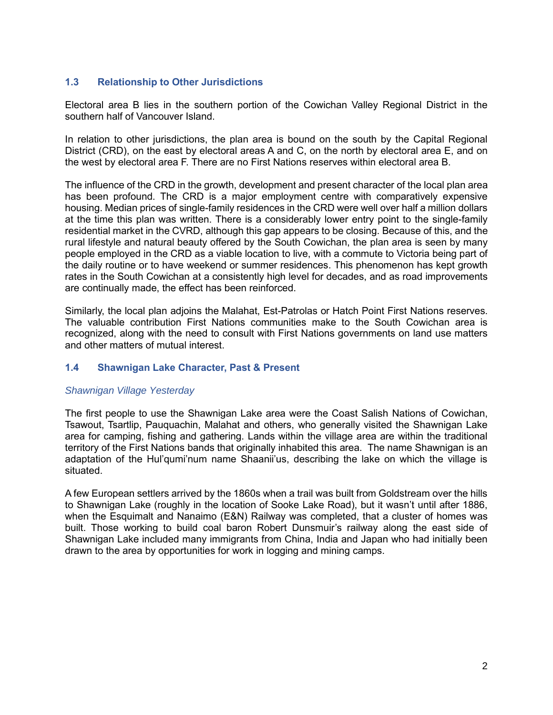## <span id="page-3-0"></span>**1.3 Relationship to Other Jurisdictions**

Electoral area B lies in the southern portion of the Cowichan Valley Regional District in the southern half of Vancouver Island.

In relation to other jurisdictions, the plan area is bound on the south by the Capital Regional District (CRD), on the east by electoral areas A and C, on the north by electoral area E, and on the west by electoral area F. There are no First Nations reserves within electoral area B.

The influence of the CRD in the growth, development and present character of the local plan area has been profound. The CRD is a major employment centre with comparatively expensive housing. Median prices of single-family residences in the CRD were well over half a million dollars at the time this plan was written. There is a considerably lower entry point to the single-family residential market in the CVRD, although this gap appears to be closing. Because of this, and the rural lifestyle and natural beauty offered by the South Cowichan, the plan area is seen by many people employed in the CRD as a viable location to live, with a commute to Victoria being part of the daily routine or to have weekend or summer residences. This phenomenon has kept growth rates in the South Cowichan at a consistently high level for decades, and as road improvements are continually made, the effect has been reinforced.

Similarly, the local plan adjoins the Malahat, Est-Patrolas or Hatch Point First Nations reserves. The valuable contribution First Nations communities make to the South Cowichan area is recognized, along with the need to consult with First Nations governments on land use matters and other matters of mutual interest.

## <span id="page-3-1"></span>**1.4 Shawnigan Lake Character, Past & Present**

#### *Shawnigan Village Yesterday*

The first people to use the Shawnigan Lake area were the Coast Salish Nations of Cowichan, Tsawout, Tsartlip, Pauquachin, Malahat and others, who generally visited the Shawnigan Lake area for camping, fishing and gathering. Lands within the village area are within the traditional territory of the First Nations bands that originally inhabited this area. The name Shawnigan is an adaptation of the Hul'qumi'num name Shaanii'us, describing the lake on which the village is situated.

A few European settlers arrived by the 1860s when a trail was built from Goldstream over the hills to Shawnigan Lake (roughly in the location of Sooke Lake Road), but it wasn't until after 1886, when the Esquimalt and Nanaimo (E&N) Railway was completed, that a cluster of homes was built. Those working to build coal baron Robert Dunsmuir's railway along the east side of Shawnigan Lake included many immigrants from China, India and Japan who had initially been drawn to the area by opportunities for work in logging and mining camps.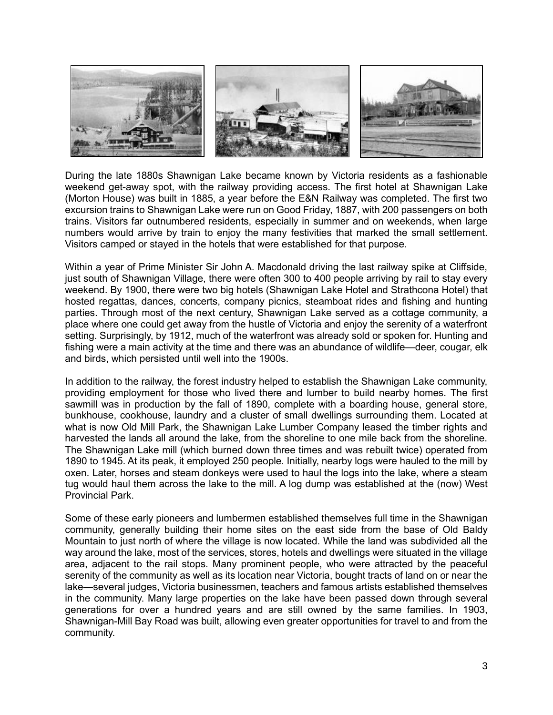

During the late 1880s Shawnigan Lake became known by Victoria residents as a fashionable weekend get-away spot, with the railway providing access. The first hotel at Shawnigan Lake (Morton House) was built in 1885, a year before the E&N Railway was completed. The first two excursion trains to Shawnigan Lake were run on Good Friday, 1887, with 200 passengers on both trains. Visitors far outnumbered residents, especially in summer and on weekends, when large numbers would arrive by train to enjoy the many festivities that marked the small settlement. Visitors camped or stayed in the hotels that were established for that purpose.

Within a year of Prime Minister Sir John A. Macdonald driving the last railway spike at Cliffside, just south of Shawnigan Village, there were often 300 to 400 people arriving by rail to stay every weekend. By 1900, there were two big hotels (Shawnigan Lake Hotel and Strathcona Hotel) that hosted regattas, dances, concerts, company picnics, steamboat rides and fishing and hunting parties. Through most of the next century, Shawnigan Lake served as a cottage community, a place where one could get away from the hustle of Victoria and enjoy the serenity of a waterfront setting. Surprisingly, by 1912, much of the waterfront was already sold or spoken for. Hunting and fishing were a main activity at the time and there was an abundance of wildlife—deer, cougar, elk and birds, which persisted until well into the 1900s.

In addition to the railway, the forest industry helped to establish the Shawnigan Lake community, providing employment for those who lived there and lumber to build nearby homes. The first sawmill was in production by the fall of 1890, complete with a boarding house, general store, bunkhouse, cookhouse, laundry and a cluster of small dwellings surrounding them. Located at what is now Old Mill Park, the Shawnigan Lake Lumber Company leased the timber rights and harvested the lands all around the lake, from the shoreline to one mile back from the shoreline. The Shawnigan Lake mill (which burned down three times and was rebuilt twice) operated from 1890 to 1945. At its peak, it employed 250 people. Initially, nearby logs were hauled to the mill by oxen. Later, horses and steam donkeys were used to haul the logs into the lake, where a steam tug would haul them across the lake to the mill. A log dump was established at the (now) West Provincial Park.

Some of these early pioneers and lumbermen established themselves full time in the Shawnigan community, generally building their home sites on the east side from the base of Old Baldy Mountain to just north of where the village is now located. While the land was subdivided all the way around the lake, most of the services, stores, hotels and dwellings were situated in the village area, adjacent to the rail stops. Many prominent people, who were attracted by the peaceful serenity of the community as well as its location near Victoria, bought tracts of land on or near the lake—several judges, Victoria businessmen, teachers and famous artists established themselves in the community. Many large properties on the lake have been passed down through several generations for over a hundred years and are still owned by the same families. In 1903, Shawnigan-Mill Bay Road was built, allowing even greater opportunities for travel to and from the community.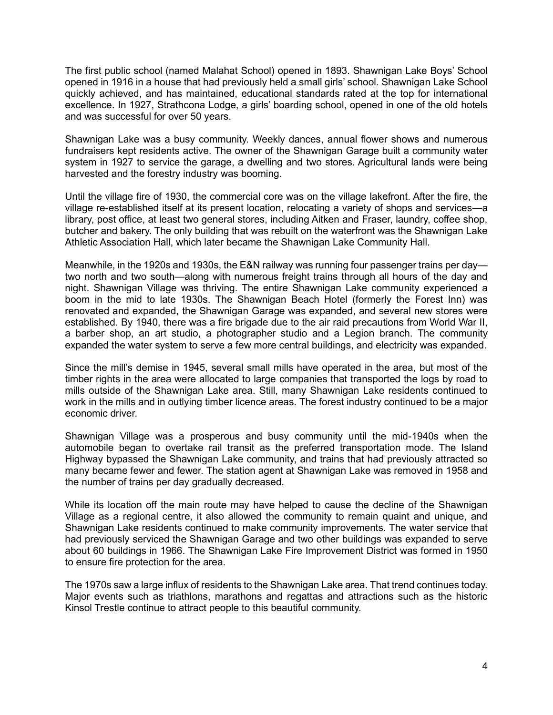The first public school (named Malahat School) opened in 1893. Shawnigan Lake Boys' School opened in 1916 in a house that had previously held a small girls' school. Shawnigan Lake School quickly achieved, and has maintained, educational standards rated at the top for international excellence. In 1927, Strathcona Lodge, a girls' boarding school, opened in one of the old hotels and was successful for over 50 years.

Shawnigan Lake was a busy community. Weekly dances, annual flower shows and numerous fundraisers kept residents active. The owner of the Shawnigan Garage built a community water system in 1927 to service the garage, a dwelling and two stores. Agricultural lands were being harvested and the forestry industry was booming.

Until the village fire of 1930, the commercial core was on the village lakefront. After the fire, the village re-established itself at its present location, relocating a variety of shops and services—a library, post office, at least two general stores, including Aitken and Fraser, laundry, coffee shop, butcher and bakery. The only building that was rebuilt on the waterfront was the Shawnigan Lake Athletic Association Hall, which later became the Shawnigan Lake Community Hall.

Meanwhile, in the 1920s and 1930s, the E&N railway was running four passenger trains per day two north and two south—along with numerous freight trains through all hours of the day and night. Shawnigan Village was thriving. The entire Shawnigan Lake community experienced a boom in the mid to late 1930s. The Shawnigan Beach Hotel (formerly the Forest Inn) was renovated and expanded, the Shawnigan Garage was expanded, and several new stores were established. By 1940, there was a fire brigade due to the air raid precautions from World War II, a barber shop, an art studio, a photographer studio and a Legion branch. The community expanded the water system to serve a few more central buildings, and electricity was expanded.

Since the mill's demise in 1945, several small mills have operated in the area, but most of the timber rights in the area were allocated to large companies that transported the logs by road to mills outside of the Shawnigan Lake area. Still, many Shawnigan Lake residents continued to work in the mills and in outlying timber licence areas. The forest industry continued to be a major economic driver.

Shawnigan Village was a prosperous and busy community until the mid-1940s when the automobile began to overtake rail transit as the preferred transportation mode. The Island Highway bypassed the Shawnigan Lake community, and trains that had previously attracted so many became fewer and fewer. The station agent at Shawnigan Lake was removed in 1958 and the number of trains per day gradually decreased.

While its location off the main route may have helped to cause the decline of the Shawnigan Village as a regional centre, it also allowed the community to remain quaint and unique, and Shawnigan Lake residents continued to make community improvements. The water service that had previously serviced the Shawnigan Garage and two other buildings was expanded to serve about 60 buildings in 1966. The Shawnigan Lake Fire Improvement District was formed in 1950 to ensure fire protection for the area.

The 1970s saw a large influx of residents to the Shawnigan Lake area. That trend continues today. Major events such as triathlons, marathons and regattas and attractions such as the historic Kinsol Trestle continue to attract people to this beautiful community.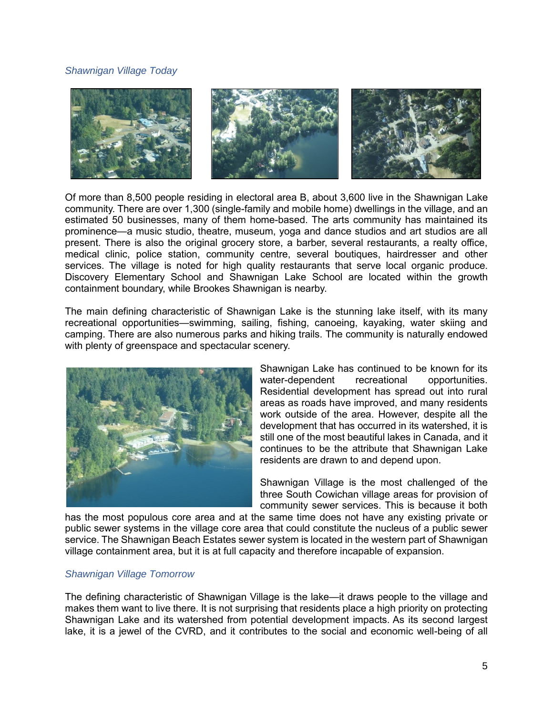## *Shawnigan Village Today*



Of more than 8,500 people residing in electoral area B, about 3,600 live in the Shawnigan Lake community. There are over 1,300 (single-family and mobile home) dwellings in the village, and an estimated 50 businesses, many of them home-based. The arts community has maintained its prominence—a music studio, theatre, museum, yoga and dance studios and art studios are all present. There is also the original grocery store, a barber, several restaurants, a realty office, medical clinic, police station, community centre, several boutiques, hairdresser and other services. The village is noted for high quality restaurants that serve local organic produce. Discovery Elementary School and Shawnigan Lake School are located within the growth containment boundary, while Brookes Shawnigan is nearby.

The main defining characteristic of Shawnigan Lake is the stunning lake itself, with its many recreational opportunities—swimming, sailing, fishing, canoeing, kayaking, water skiing and camping. There are also numerous parks and hiking trails. The community is naturally endowed with plenty of greenspace and spectacular scenery.



Shawnigan Lake has continued to be known for its water-dependent recreational opportunities. Residential development has spread out into rural areas as roads have improved, and many residents work outside of the area. However, despite all the development that has occurred in its watershed, it is still one of the most beautiful lakes in Canada, and it continues to be the attribute that Shawnigan Lake residents are drawn to and depend upon.

Shawnigan Village is the most challenged of the three South Cowichan village areas for provision of community sewer services. This is because it both

has the most populous core area and at the same time does not have any existing private or public sewer systems in the village core area that could constitute the nucleus of a public sewer service. The Shawnigan Beach Estates sewer system is located in the western part of Shawnigan village containment area, but it is at full capacity and therefore incapable of expansion.

#### *Shawnigan Village Tomorrow*

The defining characteristic of Shawnigan Village is the lake—it draws people to the village and makes them want to live there. It is not surprising that residents place a high priority on protecting Shawnigan Lake and its watershed from potential development impacts. As its second largest lake, it is a jewel of the CVRD, and it contributes to the social and economic well-being of all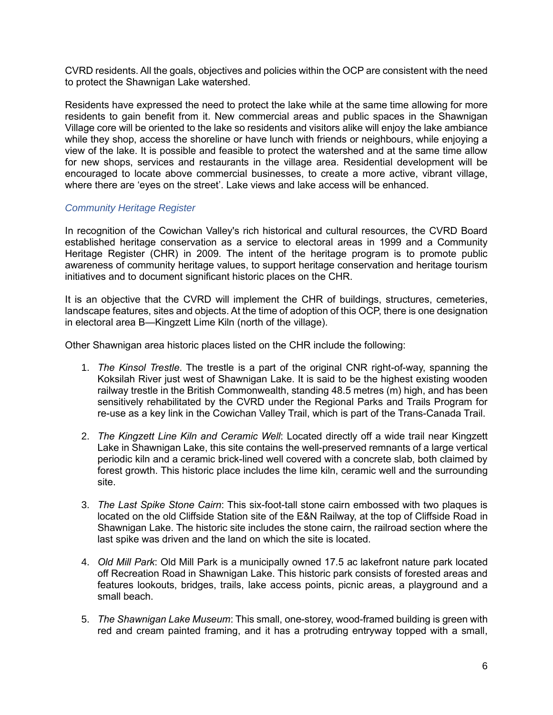CVRD residents. All the goals, objectives and policies within the OCP are consistent with the need to protect the Shawnigan Lake watershed.

Residents have expressed the need to protect the lake while at the same time allowing for more residents to gain benefit from it. New commercial areas and public spaces in the Shawnigan Village core will be oriented to the lake so residents and visitors alike will enjoy the lake ambiance while they shop, access the shoreline or have lunch with friends or neighbours, while enjoying a view of the lake. It is possible and feasible to protect the watershed and at the same time allow for new shops, services and restaurants in the village area. Residential development will be encouraged to locate above commercial businesses, to create a more active, vibrant village, where there are 'eyes on the street'. Lake views and lake access will be enhanced.

## *Community Heritage Register*

In recognition of the Cowichan Valley's rich historical and cultural resources, the CVRD Board established heritage conservation as a service to electoral areas in 1999 and a Community Heritage Register (CHR) in 2009. The intent of the heritage program is to promote public awareness of community heritage values, to support heritage conservation and heritage tourism initiatives and to document significant historic places on the CHR.

It is an objective that the CVRD will implement the CHR of buildings, structures, cemeteries, landscape features, sites and objects. At the time of adoption of this OCP, there is one designation in electoral area B—Kingzett Lime Kiln (north of the village).

Other Shawnigan area historic places listed on the CHR include the following:

- 1. *The Kinsol Trestle*. The trestle is a part of the original CNR right-of-way, spanning the Koksilah River just west of Shawnigan Lake. It is said to be the highest existing wooden railway trestle in the British Commonwealth, standing 48.5 metres (m) high, and has been sensitively rehabilitated by the CVRD under the Regional Parks and Trails Program for re-use as a key link in the Cowichan Valley Trail, which is part of the Trans-Canada Trail.
- 2. *The Kingzett Line Kiln and Ceramic Well*: Located directly off a wide trail near Kingzett Lake in Shawnigan Lake, this site contains the well-preserved remnants of a large vertical periodic kiln and a ceramic brick-lined well covered with a concrete slab, both claimed by forest growth. This historic place includes the lime kiln, ceramic well and the surrounding site.
- 3. *The Last Spike Stone Cairn*: This six-foot-tall stone cairn embossed with two plaques is located on the old Cliffside Station site of the E&N Railway, at the top of Cliffside Road in Shawnigan Lake. The historic site includes the stone cairn, the railroad section where the last spike was driven and the land on which the site is located.
- 4. *Old Mill Park*: Old Mill Park is a municipally owned 17.5 ac lakefront nature park located off Recreation Road in Shawnigan Lake. This historic park consists of forested areas and features lookouts, bridges, trails, lake access points, picnic areas, a playground and a small beach.
- 5. *The Shawnigan Lake Museum*: This small, one-storey, wood-framed building is green with red and cream painted framing, and it has a protruding entryway topped with a small,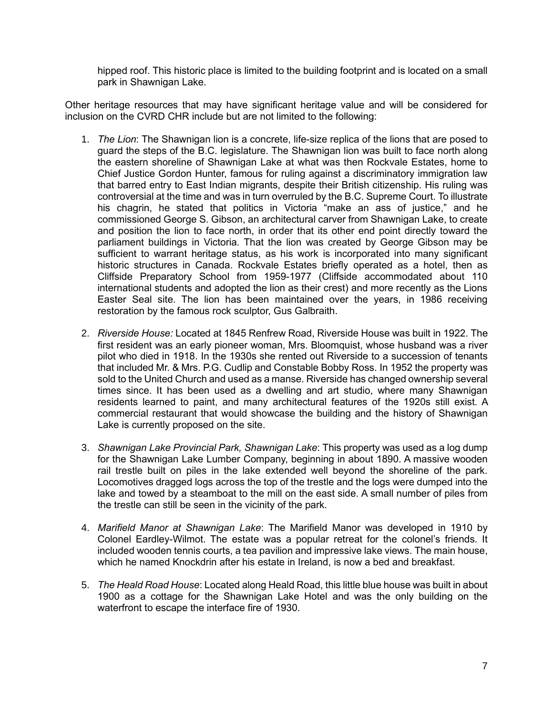hipped roof. This historic place is limited to the building footprint and is located on a small park in Shawnigan Lake.

Other heritage resources that may have significant heritage value and will be considered for inclusion on the CVRD CHR include but are not limited to the following:

- 1. *The Lion*: The Shawnigan lion is a concrete, life-size replica of the lions that are posed to guard the steps of the B.C. legislature. The Shawnigan lion was built to face north along the eastern shoreline of Shawnigan Lake at what was then Rockvale Estates, home to Chief Justice Gordon Hunter, famous for ruling against a discriminatory immigration law that barred entry to East Indian migrants, despite their British citizenship. His ruling was controversial at the time and was in turn overruled by the B.C. Supreme Court. To illustrate his chagrin, he stated that politics in Victoria "make an ass of justice," and he commissioned George S. Gibson, an architectural carver from Shawnigan Lake, to create and position the lion to face north, in order that its other end point directly toward the parliament buildings in Victoria. That the lion was created by George Gibson may be sufficient to warrant heritage status, as his work is incorporated into many significant historic structures in Canada. Rockvale Estates briefly operated as a hotel, then as Cliffside Preparatory School from 1959-1977 (Cliffside accommodated about 110 international students and adopted the lion as their crest) and more recently as the Lions Easter Seal site. The lion has been maintained over the years, in 1986 receiving restoration by the famous rock sculptor, Gus Galbraith.
- 2. *Riverside House:* Located at 1845 Renfrew Road, Riverside House was built in 1922. The first resident was an early pioneer woman, Mrs. Bloomquist, whose husband was a river pilot who died in 1918. In the 1930s she rented out Riverside to a succession of tenants that included Mr. & Mrs. P.G. Cudlip and Constable Bobby Ross. In 1952 the property was sold to the United Church and used as a manse. Riverside has changed ownership several times since. It has been used as a dwelling and art studio, where many Shawnigan residents learned to paint, and many architectural features of the 1920s still exist. A commercial restaurant that would showcase the building and the history of Shawnigan Lake is currently proposed on the site.
- 3. *Shawnigan Lake Provincial Park, Shawnigan Lake*: This property was used as a log dump for the Shawnigan Lake Lumber Company, beginning in about 1890. A massive wooden rail trestle built on piles in the lake extended well beyond the shoreline of the park. Locomotives dragged logs across the top of the trestle and the logs were dumped into the lake and towed by a steamboat to the mill on the east side. A small number of piles from the trestle can still be seen in the vicinity of the park.
- 4. *Marifield Manor at Shawnigan Lake*: The Marifield Manor was developed in 1910 by Colonel Eardley-Wilmot. The estate was a popular retreat for the colonel's friends. It included wooden tennis courts, a tea pavilion and impressive lake views. The main house, which he named Knockdrin after his estate in Ireland, is now a bed and breakfast.
- 5. *The Heald Road House*: Located along Heald Road, this little blue house was built in about 1900 as a cottage for the Shawnigan Lake Hotel and was the only building on the waterfront to escape the interface fire of 1930.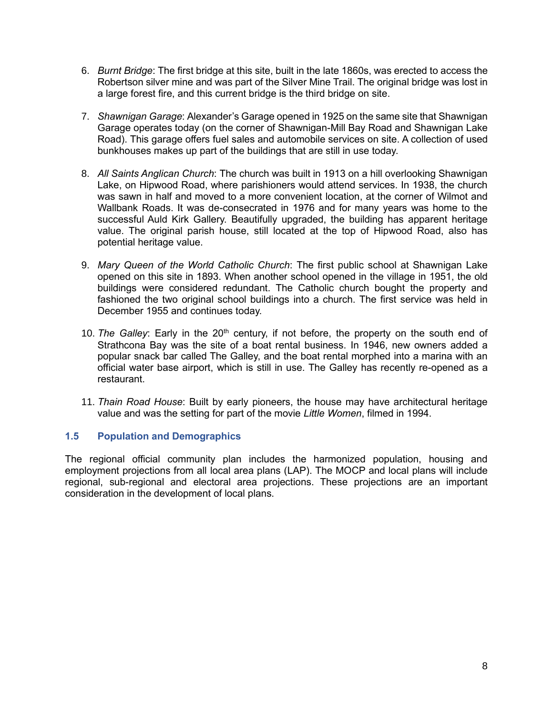- 6. *Burnt Bridge*: The first bridge at this site, built in the late 1860s, was erected to access the Robertson silver mine and was part of the Silver Mine Trail. The original bridge was lost in a large forest fire, and this current bridge is the third bridge on site.
- 7. *Shawnigan Garage*: Alexander's Garage opened in 1925 on the same site that Shawnigan Garage operates today (on the corner of Shawnigan-Mill Bay Road and Shawnigan Lake Road). This garage offers fuel sales and automobile services on site. A collection of used bunkhouses makes up part of the buildings that are still in use today.
- 8. *All Saints Anglican Church*: The church was built in 1913 on a hill overlooking Shawnigan Lake, on Hipwood Road, where parishioners would attend services. In 1938, the church was sawn in half and moved to a more convenient location, at the corner of Wilmot and Wallbank Roads. It was de-consecrated in 1976 and for many years was home to the successful Auld Kirk Gallery. Beautifully upgraded, the building has apparent heritage value. The original parish house, still located at the top of Hipwood Road, also has potential heritage value.
- 9. *Mary Queen of the World Catholic Church*: The first public school at Shawnigan Lake opened on this site in 1893. When another school opened in the village in 1951, the old buildings were considered redundant. The Catholic church bought the property and fashioned the two original school buildings into a church. The first service was held in December 1955 and continues today.
- 10. The Galley: Early in the 20<sup>th</sup> century, if not before, the property on the south end of Strathcona Bay was the site of a boat rental business. In 1946, new owners added a popular snack bar called The Galley, and the boat rental morphed into a marina with an official water base airport, which is still in use. The Galley has recently re-opened as a restaurant.
- 11. *Thain Road House*: Built by early pioneers, the house may have architectural heritage value and was the setting for part of the movie *Little Women*, filmed in 1994.

## <span id="page-9-0"></span>**1.5 Population and Demographics**

The regional official community plan includes the harmonized population, housing and employment projections from all local area plans (LAP). The MOCP and local plans will include regional, sub-regional and electoral area projections. These projections are an important consideration in the development of local plans.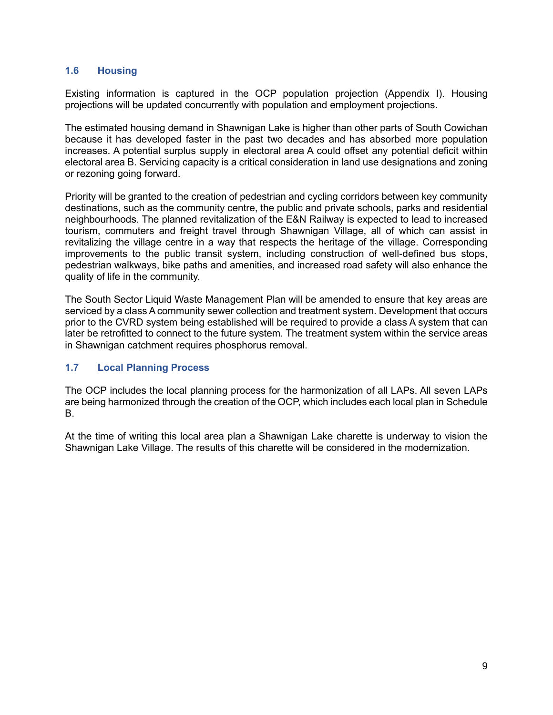## <span id="page-10-0"></span>**1.6 Housing**

Existing information is captured in the OCP population projection (Appendix I). Housing projections will be updated concurrently with population and employment projections.

The estimated housing demand in Shawnigan Lake is higher than other parts of South Cowichan because it has developed faster in the past two decades and has absorbed more population increases. A potential surplus supply in electoral area A could offset any potential deficit within electoral area B. Servicing capacity is a critical consideration in land use designations and zoning or rezoning going forward.

Priority will be granted to the creation of pedestrian and cycling corridors between key community destinations, such as the community centre, the public and private schools, parks and residential neighbourhoods. The planned revitalization of the E&N Railway is expected to lead to increased tourism, commuters and freight travel through Shawnigan Village, all of which can assist in revitalizing the village centre in a way that respects the heritage of the village. Corresponding improvements to the public transit system, including construction of well-defined bus stops, pedestrian walkways, bike paths and amenities, and increased road safety will also enhance the quality of life in the community.

The South Sector Liquid Waste Management Plan will be amended to ensure that key areas are serviced by a class A community sewer collection and treatment system. Development that occurs prior to the CVRD system being established will be required to provide a class A system that can later be retrofitted to connect to the future system. The treatment system within the service areas in Shawnigan catchment requires phosphorus removal.

## <span id="page-10-1"></span>**1.7 Local Planning Process**

The OCP includes the local planning process for the harmonization of all LAPs. All seven LAPs are being harmonized through the creation of the OCP, which includes each local plan in Schedule B.

At the time of writing this local area plan a Shawnigan Lake charette is underway to vision the Shawnigan Lake Village. The results of this charette will be considered in the modernization.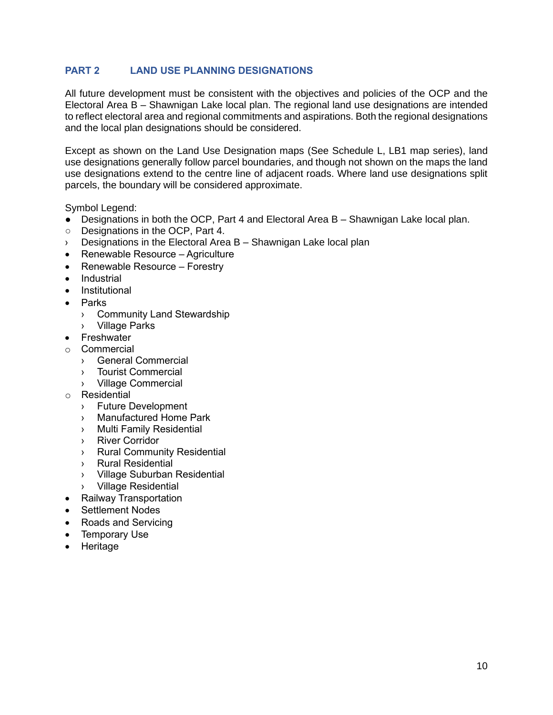# <span id="page-11-0"></span>**PART 2 LAND USE PLANNING DESIGNATIONS**

All future development must be consistent with the objectives and policies of the OCP and the Electoral Area B – Shawnigan Lake local plan. The regional land use designations are intended to reflect electoral area and regional commitments and aspirations. Both the regional designations and the local plan designations should be considered.

Except as shown on the Land Use Designation maps (See Schedule L, LB1 map series), land use designations generally follow parcel boundaries, and though not shown on the maps the land use designations extend to the centre line of adjacent roads. Where land use designations split parcels, the boundary will be considered approximate.

Symbol Legend:

- Designations in both the OCP, Part 4 and Electoral Area B Shawnigan Lake local plan.
- Designations in the OCP, Part 4.
- $\angle$  Designations in the Electoral Area B Shawnigan Lake local plan
- Renewable Resource Agriculture
- Renewable Resource Forestry
- **Industrial**
- **Institutional**
- Parks
	- › Community Land Stewardship
	- › Village Parks
- **Freshwater**
- o Commercial
	- › General Commercial
	- › Tourist Commercial
	- › Village Commercial
- o Residential
	- › Future Development
	- › Manufactured Home Park
	- › Multi Family Residential
	- › River Corridor
	- › Rural Community Residential
	- › Rural Residential
	- › Village Suburban Residential
	- › Village Residential
- Railway Transportation
- Settlement Nodes
- Roads and Servicing
- Temporary Use
- Heritage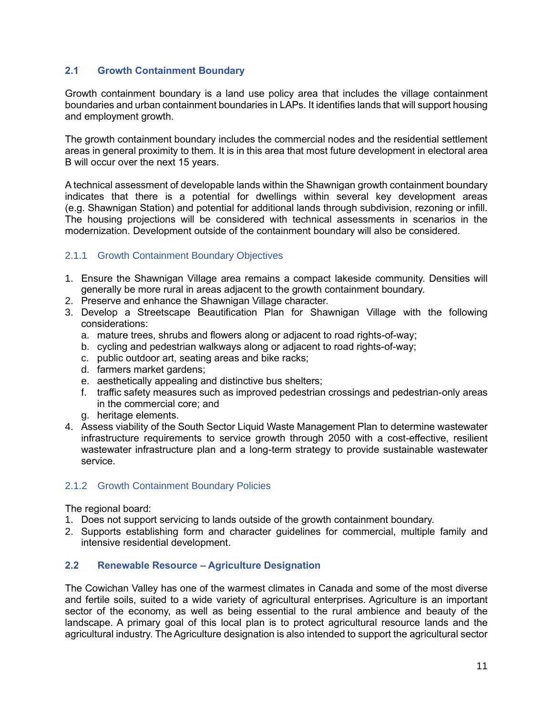## <span id="page-12-0"></span>**2.1 Growth Containment Boundary**

Growth containment boundary is a land use policy area that includes the village containment boundaries and urban containment boundaries in LAPs. It identifies lands that will support housing and employment growth.

The growth containment boundary includes the commercial nodes and the residential settlement areas in general proximity to them. It is in this area that most future development in electoral area B will occur over the next 15 years.

A technical assessment of developable lands within the Shawnigan growth containment boundary indicates that there is a potential for dwellings within several key development areas (e.g. Shawnigan Station) and potential for additional lands through subdivision, rezoning or infill. The housing projections will be considered with technical assessments in scenarios in the modernization. Development outside of the containment boundary will also be considered.

## <span id="page-12-1"></span>2.1.1 Growth Containment Boundary Objectives

- 1. Ensure the Shawnigan Village area remains a compact lakeside community. Densities will generally be more rural in areas adjacent to the growth containment boundary.
- 2. Preserve and enhance the Shawnigan Village character.
- 3. Develop a Streetscape Beautification Plan for Shawnigan Village with the following considerations:
	- a. mature trees, shrubs and flowers along or adjacent to road rights-of-way;
	- b. cycling and pedestrian walkways along or adjacent to road rights-of-way;
	- c. public outdoor art, seating areas and bike racks;
	- d. farmers market gardens;
	- e. aesthetically appealing and distinctive bus shelters;
	- f. traffic safety measures such as improved pedestrian crossings and pedestrian-only areas in the commercial core; and
	- g. heritage elements.
- 4. Assess viability of the South Sector Liquid Waste Management Plan to determine wastewater infrastructure requirements to service growth through 2050 with a cost-effective, resilient wastewater infrastructure plan and a long-term strategy to provide sustainable wastewater service.

## <span id="page-12-2"></span>2.1.2 Growth Containment Boundary Policies

The regional board:

- 1. Does not support servicing to lands outside of the growth containment boundary.
- 2. Supports establishing form and character guidelines for commercial, multiple family and intensive residential development.

## <span id="page-12-3"></span>**2.2 Renewable Resource – Agriculture Designation**

The Cowichan Valley has one of the warmest climates in Canada and some of the most diverse and fertile soils, suited to a wide variety of agricultural enterprises. Agriculture is an important sector of the economy, as well as being essential to the rural ambience and beauty of the landscape. A primary goal of this local plan is to protect agricultural resource lands and the agricultural industry. The Agriculture designation is also intended to support the agricultural sector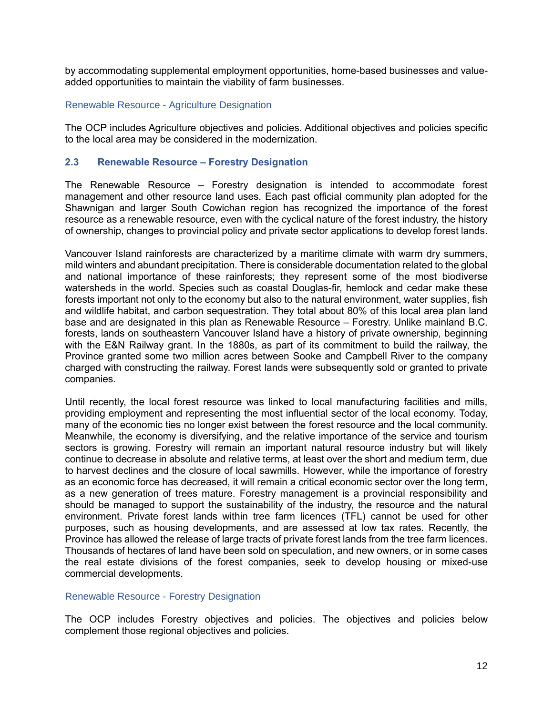by accommodating supplemental employment opportunities, home-based businesses and valueadded opportunities to maintain the viability of farm businesses.

#### Renewable Resource - Agriculture Designation

The OCP includes Agriculture objectives and policies. Additional objectives and policies specific to the local area may be considered in the modernization.

## <span id="page-13-0"></span>**2.3 Renewable Resource – Forestry Designation**

The Renewable Resource – Forestry designation is intended to accommodate forest management and other resource land uses. Each past official community plan adopted for the Shawnigan and larger South Cowichan region has recognized the importance of the forest resource as a renewable resource, even with the cyclical nature of the forest industry, the history of ownership, changes to provincial policy and private sector applications to develop forest lands.

Vancouver Island rainforests are characterized by a maritime climate with warm dry summers, mild winters and abundant precipitation. There is considerable documentation related to the global and national importance of these rainforests; they represent some of the most biodiverse watersheds in the world. Species such as coastal Douglas-fir, hemlock and cedar make these forests important not only to the economy but also to the natural environment, water supplies, fish and wildlife habitat, and carbon sequestration. They total about 80% of this local area plan land base and are designated in this plan as Renewable Resource – Forestry. Unlike mainland B.C. forests, lands on southeastern Vancouver Island have a history of private ownership, beginning with the E&N Railway grant. In the 1880s, as part of its commitment to build the railway, the Province granted some two million acres between Sooke and Campbell River to the company charged with constructing the railway. Forest lands were subsequently sold or granted to private companies.

Until recently, the local forest resource was linked to local manufacturing facilities and mills, providing employment and representing the most influential sector of the local economy. Today, many of the economic ties no longer exist between the forest resource and the local community. Meanwhile, the economy is diversifying, and the relative importance of the service and tourism sectors is growing. Forestry will remain an important natural resource industry but will likely continue to decrease in absolute and relative terms, at least over the short and medium term, due to harvest declines and the closure of local sawmills. However, while the importance of forestry as an economic force has decreased, it will remain a critical economic sector over the long term, as a new generation of trees mature. Forestry management is a provincial responsibility and should be managed to support the sustainability of the industry, the resource and the natural environment. Private forest lands within tree farm licences (TFL) cannot be used for other purposes, such as housing developments, and are assessed at low tax rates. Recently, the Province has allowed the release of large tracts of private forest lands from the tree farm licences. Thousands of hectares of land have been sold on speculation, and new owners, or in some cases the real estate divisions of the forest companies, seek to develop housing or mixed-use commercial developments.

#### Renewable Resource - Forestry Designation

The OCP includes Forestry objectives and policies. The objectives and policies below complement those regional objectives and policies.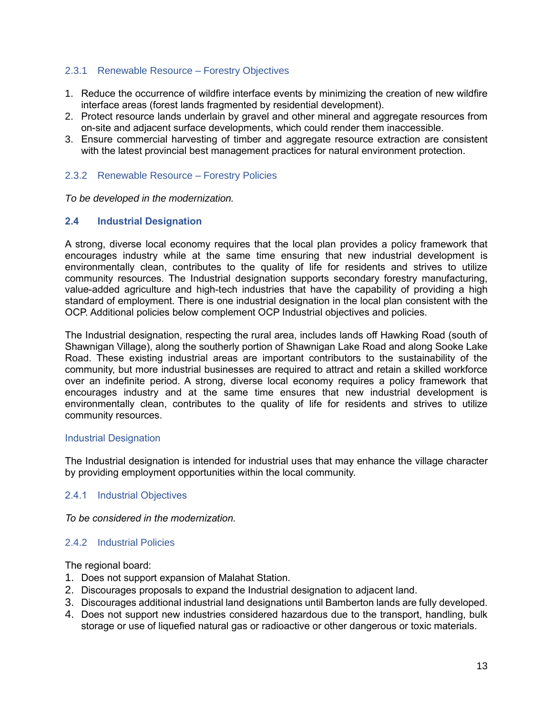#### <span id="page-14-0"></span>2.3.1 Renewable Resource – Forestry Objectives

- 1. Reduce the occurrence of wildfire interface events by minimizing the creation of new wildfire interface areas (forest lands fragmented by residential development).
- 2. Protect resource lands underlain by gravel and other mineral and aggregate resources from on-site and adjacent surface developments, which could render them inaccessible.
- 3. Ensure commercial harvesting of timber and aggregate resource extraction are consistent with the latest provincial best management practices for natural environment protection.

## <span id="page-14-1"></span>2.3.2 Renewable Resource – Forestry Policies

*To be developed in the modernization.*

## <span id="page-14-2"></span>**2.4 Industrial Designation**

A strong, diverse local economy requires that the local plan provides a policy framework that encourages industry while at the same time ensuring that new industrial development is environmentally clean, contributes to the quality of life for residents and strives to utilize community resources. The Industrial designation supports secondary forestry manufacturing, value-added agriculture and high-tech industries that have the capability of providing a high standard of employment. There is one industrial designation in the local plan consistent with the OCP. Additional policies below complement OCP Industrial objectives and policies.

The Industrial designation, respecting the rural area, includes lands off Hawking Road (south of Shawnigan Village), along the southerly portion of Shawnigan Lake Road and along Sooke Lake Road. These existing industrial areas are important contributors to the sustainability of the community, but more industrial businesses are required to attract and retain a skilled workforce over an indefinite period. A strong, diverse local economy requires a policy framework that encourages industry and at the same time ensures that new industrial development is environmentally clean, contributes to the quality of life for residents and strives to utilize community resources.

#### Industrial Designation

The Industrial designation is intended for industrial uses that may enhance the village character by providing employment opportunities within the local community.

#### <span id="page-14-3"></span>2.4.1 Industrial Objectives

#### *To be considered in the modernization.*

## <span id="page-14-4"></span>2.4.2 Industrial Policies

The regional board:

- 1. Does not support expansion of Malahat Station.
- 2. Discourages proposals to expand the Industrial designation to adjacent land.
- 3. Discourages additional industrial land designations until Bamberton lands are fully developed.
- 4. Does not support new industries considered hazardous due to the transport, handling, bulk storage or use of liquefied natural gas or radioactive or other dangerous or toxic materials.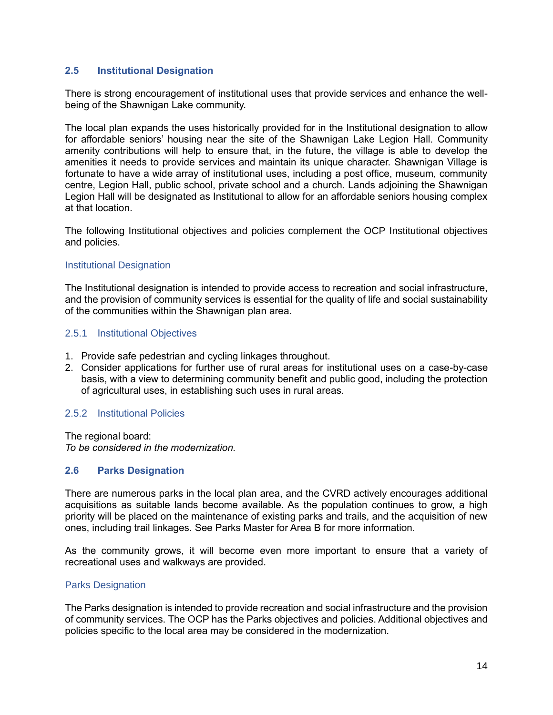## <span id="page-15-0"></span>**2.5 Institutional Designation**

There is strong encouragement of institutional uses that provide services and enhance the wellbeing of the Shawnigan Lake community.

The local plan expands the uses historically provided for in the Institutional designation to allow for affordable seniors' housing near the site of the Shawnigan Lake Legion Hall. Community amenity contributions will help to ensure that, in the future, the village is able to develop the amenities it needs to provide services and maintain its unique character. Shawnigan Village is fortunate to have a wide array of institutional uses, including a post office, museum, community centre, Legion Hall, public school, private school and a church. Lands adjoining the Shawnigan Legion Hall will be designated as Institutional to allow for an affordable seniors housing complex at that location.

The following Institutional objectives and policies complement the OCP Institutional objectives and policies.

#### Institutional Designation

The Institutional designation is intended to provide access to recreation and social infrastructure, and the provision of community services is essential for the quality of life and social sustainability of the communities within the Shawnigan plan area.

#### <span id="page-15-1"></span>2.5.1 Institutional Objectives

- 1. Provide safe pedestrian and cycling linkages throughout.
- 2. Consider applications for further use of rural areas for institutional uses on a case-by-case basis, with a view to determining community benefit and public good, including the protection of agricultural uses, in establishing such uses in rural areas.

#### <span id="page-15-2"></span>2.5.2 Institutional Policies

The regional board: *To be considered in the modernization.*

#### <span id="page-15-3"></span>**2.6 Parks Designation**

There are numerous parks in the local plan area, and the CVRD actively encourages additional acquisitions as suitable lands become available. As the population continues to grow, a high priority will be placed on the maintenance of existing parks and trails, and the acquisition of new ones, including trail linkages. See Parks Master for Area B for more information.

As the community grows, it will become even more important to ensure that a variety of recreational uses and walkways are provided.

#### Parks Designation

The Parks designation is intended to provide recreation and social infrastructure and the provision of community services. The OCP has the Parks objectives and policies. Additional objectives and policies specific to the local area may be considered in the modernization.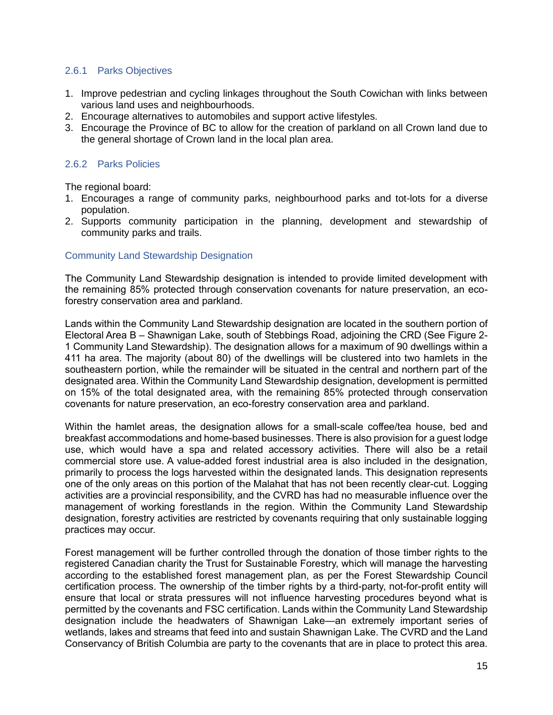## <span id="page-16-0"></span>2.6.1 Parks Objectives

- 1. Improve pedestrian and cycling linkages throughout the South Cowichan with links between various land uses and neighbourhoods.
- 2. Encourage alternatives to automobiles and support active lifestyles.
- 3. Encourage the Province of BC to allow for the creation of parkland on all Crown land due to the general shortage of Crown land in the local plan area.

## <span id="page-16-1"></span>2.6.2 Parks Policies

The regional board:

- 1. Encourages a range of community parks, neighbourhood parks and tot-lots for a diverse population.
- 2. Supports community participation in the planning, development and stewardship of community parks and trails.

## Community Land Stewardship Designation

The Community Land Stewardship designation is intended to provide limited development with the remaining 85% protected through conservation covenants for nature preservation, an ecoforestry conservation area and parkland.

Lands within the Community Land Stewardship designation are located in the southern portion of Electoral Area B – Shawnigan Lake, south of Stebbings Road, adjoining the CRD (See Figure 2- 1 Community Land Stewardship). The designation allows for a maximum of 90 dwellings within a 411 ha area. The majority (about 80) of the dwellings will be clustered into two hamlets in the southeastern portion, while the remainder will be situated in the central and northern part of the designated area. Within the Community Land Stewardship designation, development is permitted on 15% of the total designated area, with the remaining 85% protected through conservation covenants for nature preservation, an eco-forestry conservation area and parkland.

Within the hamlet areas, the designation allows for a small-scale coffee/tea house, bed and breakfast accommodations and home-based businesses. There is also provision for a guest lodge use, which would have a spa and related accessory activities. There will also be a retail commercial store use. A value-added forest industrial area is also included in the designation, primarily to process the logs harvested within the designated lands. This designation represents one of the only areas on this portion of the Malahat that has not been recently clear-cut. Logging activities are a provincial responsibility, and the CVRD has had no measurable influence over the management of working forestlands in the region. Within the Community Land Stewardship designation, forestry activities are restricted by covenants requiring that only sustainable logging practices may occur.

Forest management will be further controlled through the donation of those timber rights to the registered Canadian charity the Trust for Sustainable Forestry, which will manage the harvesting according to the established forest management plan, as per the Forest Stewardship Council certification process. The ownership of the timber rights by a third-party, not-for-profit entity will ensure that local or strata pressures will not influence harvesting procedures beyond what is permitted by the covenants and FSC certification. Lands within the Community Land Stewardship designation include the headwaters of Shawnigan Lake—an extremely important series of wetlands, lakes and streams that feed into and sustain Shawnigan Lake. The CVRD and the Land Conservancy of British Columbia are party to the covenants that are in place to protect this area.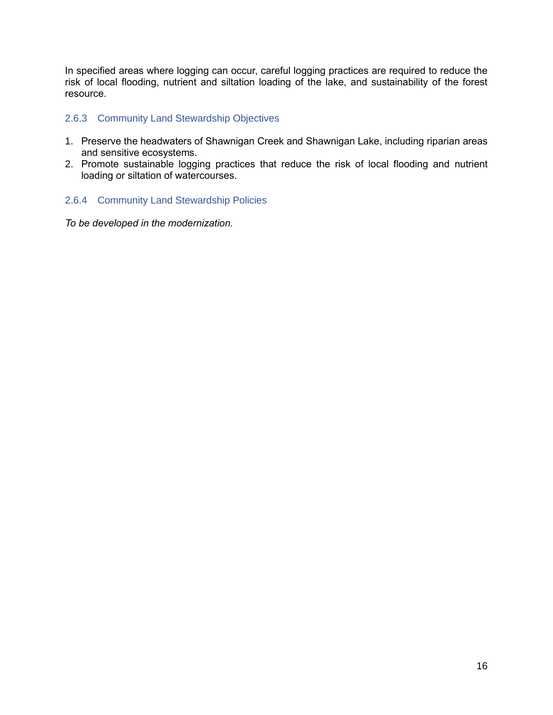In specified areas where logging can occur, careful logging practices are required to reduce the risk of local flooding, nutrient and siltation loading of the lake, and sustainability of the forest resource.

## <span id="page-17-0"></span>2.6.3 Community Land Stewardship Objectives

- 1. Preserve the headwaters of Shawnigan Creek and Shawnigan Lake, including riparian areas and sensitive ecosystems.
- 2. Promote sustainable logging practices that reduce the risk of local flooding and nutrient loading or siltation of watercourses.

## <span id="page-17-1"></span>2.6.4 Community Land Stewardship Policies

*To be developed in the modernization.*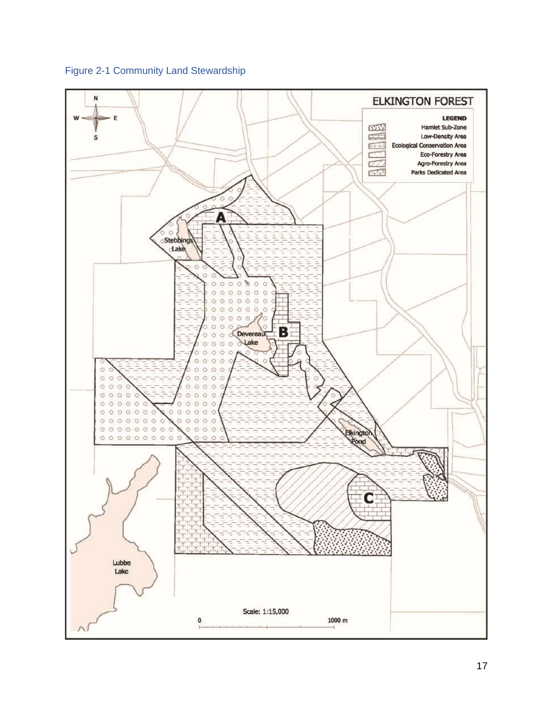<span id="page-18-0"></span>Figure 2-1 Community Land Stewardship

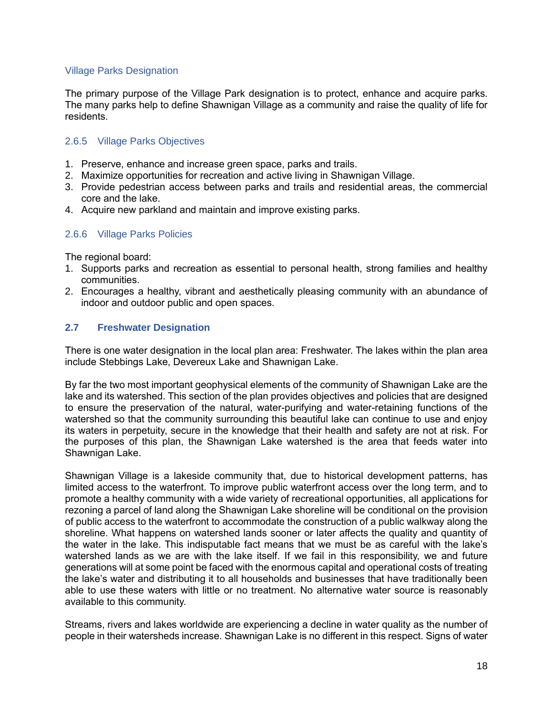## Village Parks Designation

The primary purpose of the Village Park designation is to protect, enhance and acquire parks. The many parks help to define Shawnigan Village as a community and raise the quality of life for residents.

## <span id="page-19-0"></span>2.6.5 Village Parks Objectives

- 1. Preserve, enhance and increase green space, parks and trails.
- 2. Maximize opportunities for recreation and active living in Shawnigan Village.
- 3. Provide pedestrian access between parks and trails and residential areas, the commercial core and the lake.
- 4. Acquire new parkland and maintain and improve existing parks.

## <span id="page-19-1"></span>2.6.6 Village Parks Policies

The regional board:

- 1. Supports parks and recreation as essential to personal health, strong families and healthy communities.
- 2. Encourages a healthy, vibrant and aesthetically pleasing community with an abundance of indoor and outdoor public and open spaces.

## <span id="page-19-2"></span>**2.7 Freshwater Designation**

There is one water designation in the local plan area: Freshwater. The lakes within the plan area include Stebbings Lake, Devereux Lake and Shawnigan Lake.

By far the two most important geophysical elements of the community of Shawnigan Lake are the lake and its watershed. This section of the plan provides objectives and policies that are designed to ensure the preservation of the natural, water-purifying and water-retaining functions of the watershed so that the community surrounding this beautiful lake can continue to use and enjoy its waters in perpetuity, secure in the knowledge that their health and safety are not at risk. For the purposes of this plan, the Shawnigan Lake watershed is the area that feeds water into Shawnigan Lake.

Shawnigan Village is a lakeside community that, due to historical development patterns, has limited access to the waterfront. To improve public waterfront access over the long term, and to promote a healthy community with a wide variety of recreational opportunities, all applications for rezoning a parcel of land along the Shawnigan Lake shoreline will be conditional on the provision of public access to the waterfront to accommodate the construction of a public walkway along the shoreline. What happens on watershed lands sooner or later affects the quality and quantity of the water in the lake. This indisputable fact means that we must be as careful with the lake's watershed lands as we are with the lake itself. If we fail in this responsibility, we and future generations will at some point be faced with the enormous capital and operational costs of treating the lake's water and distributing it to all households and businesses that have traditionally been able to use these waters with little or no treatment. No alternative water source is reasonably available to this community.

Streams, rivers and lakes worldwide are experiencing a decline in water quality as the number of people in their watersheds increase. Shawnigan Lake is no different in this respect. Signs of water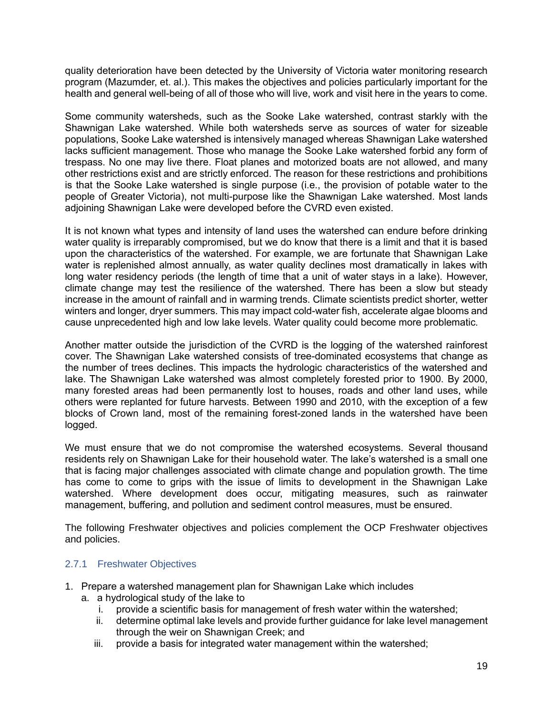quality deterioration have been detected by the University of Victoria water monitoring research program (Mazumder, et. al.). This makes the objectives and policies particularly important for the health and general well-being of all of those who will live, work and visit here in the years to come.

Some community watersheds, such as the Sooke Lake watershed, contrast starkly with the Shawnigan Lake watershed. While both watersheds serve as sources of water for sizeable populations, Sooke Lake watershed is intensively managed whereas Shawnigan Lake watershed lacks sufficient management. Those who manage the Sooke Lake watershed forbid any form of trespass. No one may live there. Float planes and motorized boats are not allowed, and many other restrictions exist and are strictly enforced. The reason for these restrictions and prohibitions is that the Sooke Lake watershed is single purpose (i.e., the provision of potable water to the people of Greater Victoria), not multi-purpose like the Shawnigan Lake watershed. Most lands adjoining Shawnigan Lake were developed before the CVRD even existed.

It is not known what types and intensity of land uses the watershed can endure before drinking water quality is irreparably compromised, but we do know that there is a limit and that it is based upon the characteristics of the watershed. For example, we are fortunate that Shawnigan Lake water is replenished almost annually, as water quality declines most dramatically in lakes with long water residency periods (the length of time that a unit of water stays in a lake). However, climate change may test the resilience of the watershed. There has been a slow but steady increase in the amount of rainfall and in warming trends. Climate scientists predict shorter, wetter winters and longer, dryer summers. This may impact cold-water fish, accelerate algae blooms and cause unprecedented high and low lake levels. Water quality could become more problematic.

Another matter outside the jurisdiction of the CVRD is the logging of the watershed rainforest cover. The Shawnigan Lake watershed consists of tree-dominated ecosystems that change as the number of trees declines. This impacts the hydrologic characteristics of the watershed and lake. The Shawnigan Lake watershed was almost completely forested prior to 1900. By 2000, many forested areas had been permanently lost to houses, roads and other land uses, while others were replanted for future harvests. Between 1990 and 2010, with the exception of a few blocks of Crown land, most of the remaining forest-zoned lands in the watershed have been logged.

We must ensure that we do not compromise the watershed ecosystems. Several thousand residents rely on Shawnigan Lake for their household water. The lake's watershed is a small one that is facing major challenges associated with climate change and population growth. The time has come to come to grips with the issue of limits to development in the Shawnigan Lake watershed. Where development does occur, mitigating measures, such as rainwater management, buffering, and pollution and sediment control measures, must be ensured.

The following Freshwater objectives and policies complement the OCP Freshwater objectives and policies.

# <span id="page-20-0"></span>2.7.1 Freshwater Objectives

- 1. Prepare a watershed management plan for Shawnigan Lake which includes
	- a. a hydrological study of the lake to
		- i. provide a scientific basis for management of fresh water within the watershed;
		- ii. determine optimal lake levels and provide further guidance for lake level management through the weir on Shawnigan Creek; and
		- iii. provide a basis for integrated water management within the watershed;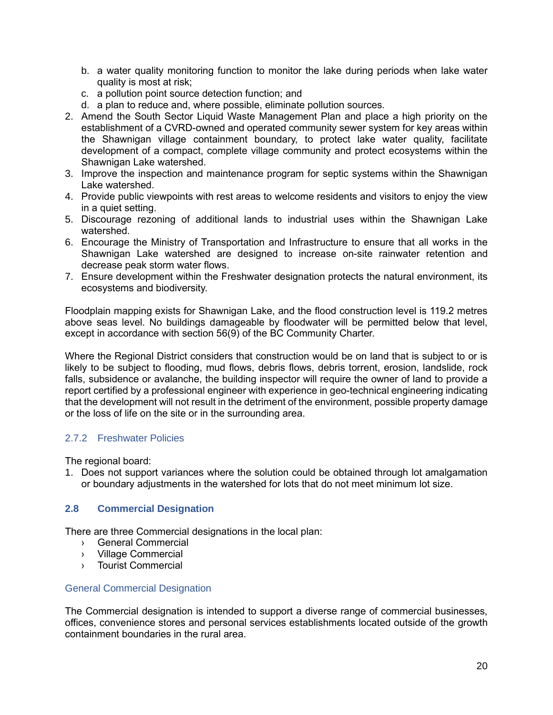- b. a water quality monitoring function to monitor the lake during periods when lake water quality is most at risk;
- c. a pollution point source detection function; and
- d. a plan to reduce and, where possible, eliminate pollution sources.
- 2. Amend the South Sector Liquid Waste Management Plan and place a high priority on the establishment of a CVRD-owned and operated community sewer system for key areas within the Shawnigan village containment boundary, to protect lake water quality, facilitate development of a compact, complete village community and protect ecosystems within the Shawnigan Lake watershed.
- 3. Improve the inspection and maintenance program for septic systems within the Shawnigan Lake watershed.
- 4. Provide public viewpoints with rest areas to welcome residents and visitors to enjoy the view in a quiet setting.
- 5. Discourage rezoning of additional lands to industrial uses within the Shawnigan Lake watershed.
- 6. Encourage the Ministry of Transportation and Infrastructure to ensure that all works in the Shawnigan Lake watershed are designed to increase on-site rainwater retention and decrease peak storm water flows.
- 7. Ensure development within the Freshwater designation protects the natural environment, its ecosystems and biodiversity.

Floodplain mapping exists for Shawnigan Lake, and the flood construction level is 119.2 metres above seas level. No buildings damageable by floodwater will be permitted below that level, except in accordance with section 56(9) of the BC Community Charter.

Where the Regional District considers that construction would be on land that is subject to or is likely to be subject to flooding, mud flows, debris flows, debris torrent, erosion, landslide, rock falls, subsidence or avalanche, the building inspector will require the owner of land to provide a report certified by a professional engineer with experience in geo-technical engineering indicating that the development will not result in the detriment of the environment, possible property damage or the loss of life on the site or in the surrounding area.

## <span id="page-21-0"></span>2.7.2 Freshwater Policies

The regional board:

1. Does not support variances where the solution could be obtained through lot amalgamation or boundary adjustments in the watershed for lots that do not meet minimum lot size.

## <span id="page-21-1"></span>**2.8 Commercial Designation**

There are three Commercial designations in the local plan:

- › General Commercial
- › Village Commercial
- › Tourist Commercial

#### General Commercial Designation

The Commercial designation is intended to support a diverse range of commercial businesses, offices, convenience stores and personal services establishments located outside of the growth containment boundaries in the rural area.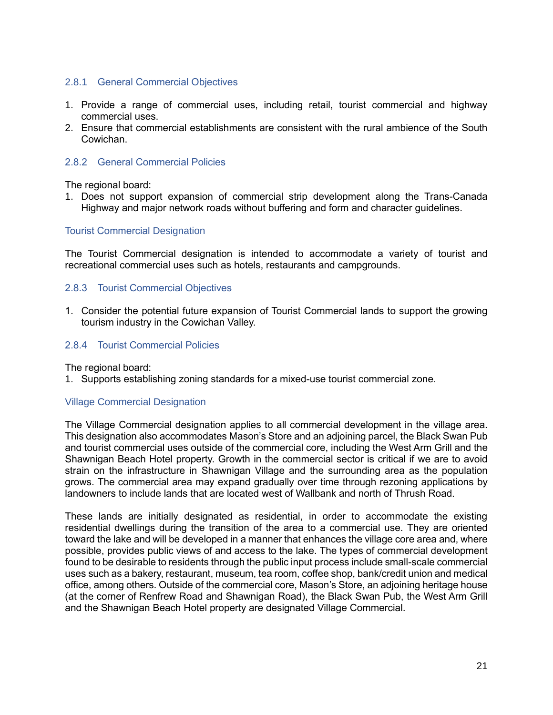## <span id="page-22-0"></span>2.8.1 General Commercial Objectives

- 1. Provide a range of commercial uses, including retail, tourist commercial and highway commercial uses.
- 2. Ensure that commercial establishments are consistent with the rural ambience of the South Cowichan.

## <span id="page-22-1"></span>2.8.2 General Commercial Policies

The regional board:

1. Does not support expansion of commercial strip development along the Trans-Canada Highway and major network roads without buffering and form and character guidelines.

#### Tourist Commercial Designation

The Tourist Commercial designation is intended to accommodate a variety of tourist and recreational commercial uses such as hotels, restaurants and campgrounds.

## <span id="page-22-2"></span>2.8.3 Tourist Commercial Objectives

1. Consider the potential future expansion of Tourist Commercial lands to support the growing tourism industry in the Cowichan Valley.

## <span id="page-22-3"></span>2.8.4 Tourist Commercial Policies

The regional board:

1. Supports establishing zoning standards for a mixed-use tourist commercial zone.

#### Village Commercial Designation

The Village Commercial designation applies to all commercial development in the village area. This designation also accommodates Mason's Store and an adjoining parcel, the Black Swan Pub and tourist commercial uses outside of the commercial core, including the West Arm Grill and the Shawnigan Beach Hotel property. Growth in the commercial sector is critical if we are to avoid strain on the infrastructure in Shawnigan Village and the surrounding area as the population grows. The commercial area may expand gradually over time through rezoning applications by landowners to include lands that are located west of Wallbank and north of Thrush Road.

These lands are initially designated as residential, in order to accommodate the existing residential dwellings during the transition of the area to a commercial use. They are oriented toward the lake and will be developed in a manner that enhances the village core area and, where possible, provides public views of and access to the lake. The types of commercial development found to be desirable to residents through the public input process include small-scale commercial uses such as a bakery, restaurant, museum, tea room, coffee shop, bank/credit union and medical office, among others. Outside of the commercial core, Mason's Store, an adjoining heritage house (at the corner of Renfrew Road and Shawnigan Road), the Black Swan Pub, the West Arm Grill and the Shawnigan Beach Hotel property are designated Village Commercial.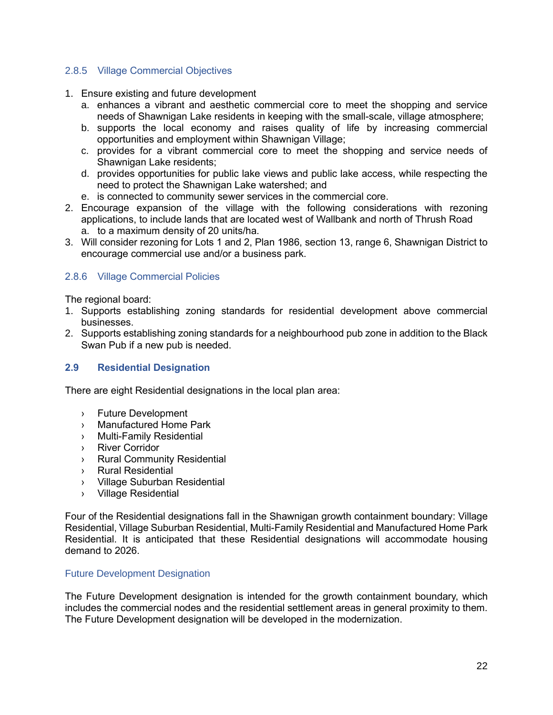## <span id="page-23-0"></span>2.8.5 Village Commercial Objectives

- 1. Ensure existing and future development
	- a. enhances a vibrant and aesthetic commercial core to meet the shopping and service needs of Shawnigan Lake residents in keeping with the small-scale, village atmosphere;
	- b. supports the local economy and raises quality of life by increasing commercial opportunities and employment within Shawnigan Village;
	- c. provides for a vibrant commercial core to meet the shopping and service needs of Shawnigan Lake residents;
	- d. provides opportunities for public lake views and public lake access, while respecting the need to protect the Shawnigan Lake watershed; and
	- e. is connected to community sewer services in the commercial core.
- 2. Encourage expansion of the village with the following considerations with rezoning applications, to include lands that are located west of Wallbank and north of Thrush Road a. to a maximum density of 20 units/ha.
- 3. Will consider rezoning for Lots 1 and 2, Plan 1986, section 13, range 6, Shawnigan District to encourage commercial use and/or a business park.

## <span id="page-23-1"></span>2.8.6 Village Commercial Policies

The regional board:

- 1. Supports establishing zoning standards for residential development above commercial businesses.
- 2. Supports establishing zoning standards for a neighbourhood pub zone in addition to the Black Swan Pub if a new pub is needed.

#### <span id="page-23-2"></span>**2.9 Residential Designation**

There are eight Residential designations in the local plan area:

- › Future Development
- › Manufactured Home Park
- › Multi-Family Residential
- › River Corridor
- › Rural Community Residential
- › Rural Residential
- › Village Suburban Residential
- › Village Residential

Four of the Residential designations fall in the Shawnigan growth containment boundary: Village Residential, Village Suburban Residential, Multi-Family Residential and Manufactured Home Park Residential. It is anticipated that these Residential designations will accommodate housing demand to 2026.

#### Future Development Designation

The Future Development designation is intended for the growth containment boundary, which includes the commercial nodes and the residential settlement areas in general proximity to them. The Future Development designation will be developed in the modernization.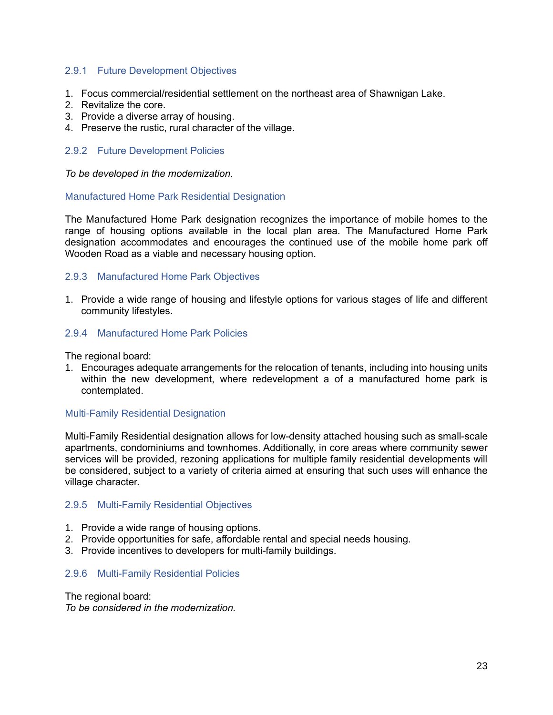#### <span id="page-24-0"></span>2.9.1 Future Development Objectives

- 1. Focus commercial/residential settlement on the northeast area of Shawnigan Lake.
- 2. Revitalize the core.
- 3. Provide a diverse array of housing.
- 4. Preserve the rustic, rural character of the village.

#### <span id="page-24-1"></span>2.9.2 Future Development Policies

*To be developed in the modernization.*

## Manufactured Home Park Residential Designation

The Manufactured Home Park designation recognizes the importance of mobile homes to the range of housing options available in the local plan area. The Manufactured Home Park designation accommodates and encourages the continued use of the mobile home park off Wooden Road as a viable and necessary housing option.

## <span id="page-24-2"></span>2.9.3 Manufactured Home Park Objectives

1. Provide a wide range of housing and lifestyle options for various stages of life and different community lifestyles.

## <span id="page-24-3"></span>2.9.4 Manufactured Home Park Policies

The regional board:

1. Encourages adequate arrangements for the relocation of tenants, including into housing units within the new development, where redevelopment a of a manufactured home park is contemplated.

#### Multi-Family Residential Designation

Multi-Family Residential designation allows for low-density attached housing such as small-scale apartments, condominiums and townhomes. Additionally, in core areas where community sewer services will be provided, rezoning applications for multiple family residential developments will be considered, subject to a variety of criteria aimed at ensuring that such uses will enhance the village character.

#### <span id="page-24-4"></span>2.9.5 Multi-Family Residential Objectives

- 1. Provide a wide range of housing options.
- 2. Provide opportunities for safe, affordable rental and special needs housing.
- 3. Provide incentives to developers for multi-family buildings.

#### <span id="page-24-5"></span>2.9.6 Multi-Family Residential Policies

The regional board: *To be considered in the modernization.*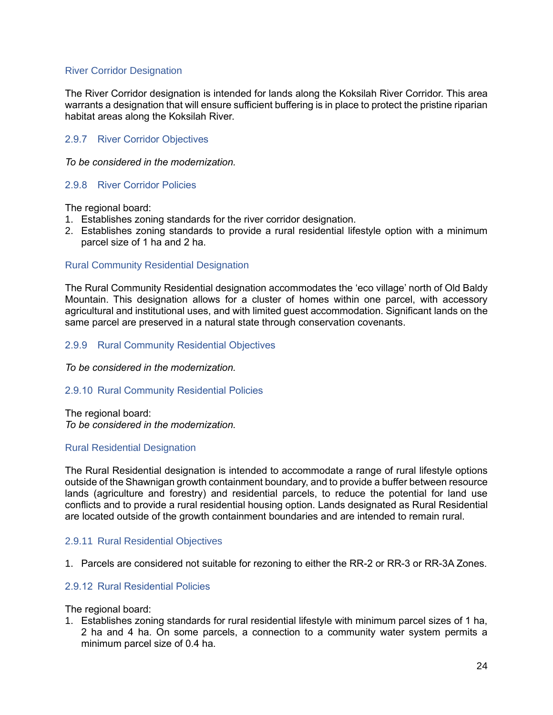## River Corridor Designation

The River Corridor designation is intended for lands along the Koksilah River Corridor. This area warrants a designation that will ensure sufficient buffering is in place to protect the pristine riparian habitat areas along the Koksilah River.

## <span id="page-25-0"></span>2.9.7 River Corridor Objectives

*To be considered in the modernization.*

#### <span id="page-25-1"></span>2.9.8 River Corridor Policies

The regional board:

- 1. Establishes zoning standards for the river corridor designation.
- 2. Establishes zoning standards to provide a rural residential lifestyle option with a minimum parcel size of 1 ha and 2 ha.

#### Rural Community Residential Designation

The Rural Community Residential designation accommodates the 'eco village' north of Old Baldy Mountain. This designation allows for a cluster of homes within one parcel, with accessory agricultural and institutional uses, and with limited guest accommodation. Significant lands on the same parcel are preserved in a natural state through conservation covenants.

## <span id="page-25-2"></span>2.9.9 Rural Community Residential Objectives

*To be considered in the modernization.*

#### <span id="page-25-3"></span>2.9.10 Rural Community Residential Policies

The regional board: *To be considered in the modernization.*

#### Rural Residential Designation

The Rural Residential designation is intended to accommodate a range of rural lifestyle options outside of the Shawnigan growth containment boundary, and to provide a buffer between resource lands (agriculture and forestry) and residential parcels, to reduce the potential for land use conflicts and to provide a rural residential housing option. Lands designated as Rural Residential are located outside of the growth containment boundaries and are intended to remain rural.

#### <span id="page-25-4"></span>2.9.11 Rural Residential Objectives

1. Parcels are considered not suitable for rezoning to either the RR-2 or RR-3 or RR-3A Zones.

## <span id="page-25-5"></span>2.9.12 Rural Residential Policies

The regional board:

1. Establishes zoning standards for rural residential lifestyle with minimum parcel sizes of 1 ha, 2 ha and 4 ha. On some parcels, a connection to a community water system permits a minimum parcel size of 0.4 ha.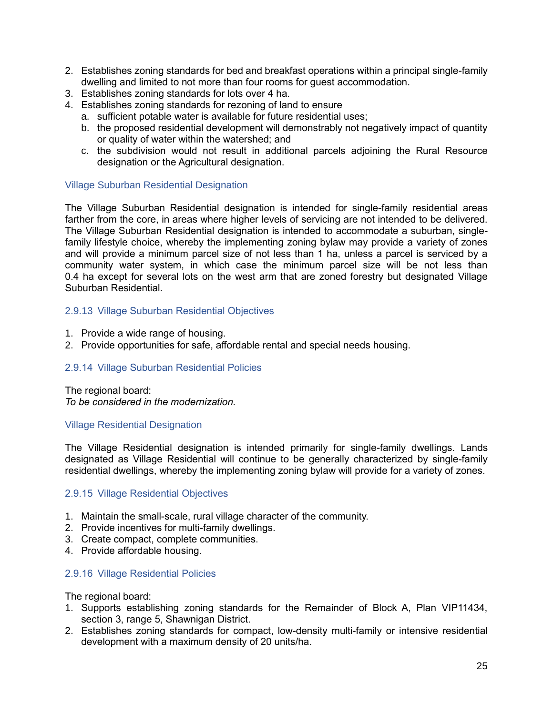- 2. Establishes zoning standards for bed and breakfast operations within a principal single-family dwelling and limited to not more than four rooms for guest accommodation.
- 3. Establishes zoning standards for lots over 4 ha.
- 4. Establishes zoning standards for rezoning of land to ensure
	- a. sufficient potable water is available for future residential uses;
	- b. the proposed residential development will demonstrably not negatively impact of quantity or quality of water within the watershed; and
	- c. the subdivision would not result in additional parcels adjoining the Rural Resource designation or the Agricultural designation.

#### Village Suburban Residential Designation

The Village Suburban Residential designation is intended for single-family residential areas farther from the core, in areas where higher levels of servicing are not intended to be delivered. The Village Suburban Residential designation is intended to accommodate a suburban, singlefamily lifestyle choice, whereby the implementing zoning bylaw may provide a variety of zones and will provide a minimum parcel size of not less than 1 ha, unless a parcel is serviced by a community water system, in which case the minimum parcel size will be not less than 0.4 ha except for several lots on the west arm that are zoned forestry but designated Village Suburban Residential.

## <span id="page-26-0"></span>2.9.13 Village Suburban Residential Objectives

- 1. Provide a wide range of housing.
- 2. Provide opportunities for safe, affordable rental and special needs housing.

#### <span id="page-26-1"></span>2.9.14 Village Suburban Residential Policies

The regional board: *To be considered in the modernization.*

#### Village Residential Designation

The Village Residential designation is intended primarily for single-family dwellings. Lands designated as Village Residential will continue to be generally characterized by single-family residential dwellings, whereby the implementing zoning bylaw will provide for a variety of zones.

#### <span id="page-26-2"></span>2.9.15 Village Residential Objectives

- 1. Maintain the small-scale, rural village character of the community.
- 2. Provide incentives for multi-family dwellings.
- 3. Create compact, complete communities.
- 4. Provide affordable housing.

## <span id="page-26-3"></span>2.9.16 Village Residential Policies

The regional board:

- 1. Supports establishing zoning standards for the Remainder of Block A, Plan VIP11434, section 3, range 5, Shawnigan District.
- 2. Establishes zoning standards for compact, low-density multi-family or intensive residential development with a maximum density of 20 units/ha.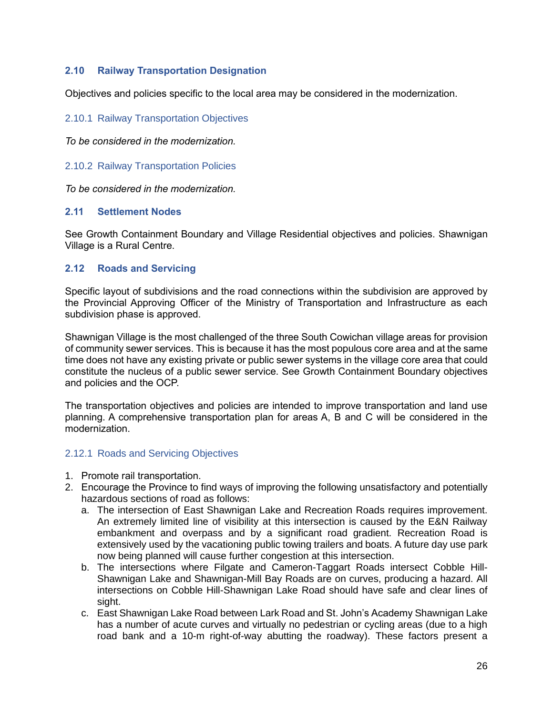# <span id="page-27-0"></span>**2.10 Railway Transportation Designation**

Objectives and policies specific to the local area may be considered in the modernization.

## <span id="page-27-1"></span>2.10.1 Railway Transportation Objectives

*To be considered in the modernization.*

<span id="page-27-2"></span>2.10.2 Railway Transportation Policies

*To be considered in the modernization.* 

## <span id="page-27-3"></span>**2.11 Settlement Nodes**

See Growth Containment Boundary and Village Residential objectives and policies. Shawnigan Village is a Rural Centre.

## <span id="page-27-4"></span>**2.12 Roads and Servicing**

Specific layout of subdivisions and the road connections within the subdivision are approved by the Provincial Approving Officer of the Ministry of Transportation and Infrastructure as each subdivision phase is approved.

Shawnigan Village is the most challenged of the three South Cowichan village areas for provision of community sewer services. This is because it has the most populous core area and at the same time does not have any existing private or public sewer systems in the village core area that could constitute the nucleus of a public sewer service. See Growth Containment Boundary objectives and policies and the OCP.

The transportation objectives and policies are intended to improve transportation and land use planning. A comprehensive transportation plan for areas A, B and C will be considered in the modernization.

## <span id="page-27-5"></span>2.12.1 Roads and Servicing Objectives

- 1. Promote rail transportation.
- 2. Encourage the Province to find ways of improving the following unsatisfactory and potentially hazardous sections of road as follows:
	- a. The intersection of East Shawnigan Lake and Recreation Roads requires improvement. An extremely limited line of visibility at this intersection is caused by the E&N Railway embankment and overpass and by a significant road gradient. Recreation Road is extensively used by the vacationing public towing trailers and boats. A future day use park now being planned will cause further congestion at this intersection.
	- b. The intersections where Filgate and Cameron-Taggart Roads intersect Cobble Hill-Shawnigan Lake and Shawnigan-Mill Bay Roads are on curves, producing a hazard. All intersections on Cobble Hill-Shawnigan Lake Road should have safe and clear lines of sight.
	- c. East Shawnigan Lake Road between Lark Road and St. John's Academy Shawnigan Lake has a number of acute curves and virtually no pedestrian or cycling areas (due to a high road bank and a 10-m right-of-way abutting the roadway). These factors present a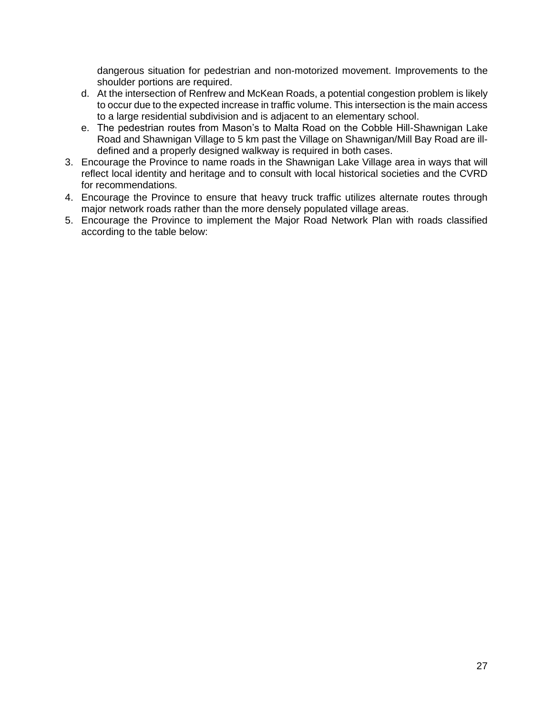dangerous situation for pedestrian and non-motorized movement. Improvements to the shoulder portions are required.

- d. At the intersection of Renfrew and McKean Roads, a potential congestion problem is likely to occur due to the expected increase in traffic volume. This intersection is the main access to a large residential subdivision and is adjacent to an elementary school.
- e. The pedestrian routes from Mason's to Malta Road on the Cobble Hill-Shawnigan Lake Road and Shawnigan Village to 5 km past the Village on Shawnigan/Mill Bay Road are illdefined and a properly designed walkway is required in both cases.
- 3. Encourage the Province to name roads in the Shawnigan Lake Village area in ways that will reflect local identity and heritage and to consult with local historical societies and the CVRD for recommendations.
- 4. Encourage the Province to ensure that heavy truck traffic utilizes alternate routes through major network roads rather than the more densely populated village areas.
- 5. Encourage the Province to implement the Major Road Network Plan with roads classified according to the table below: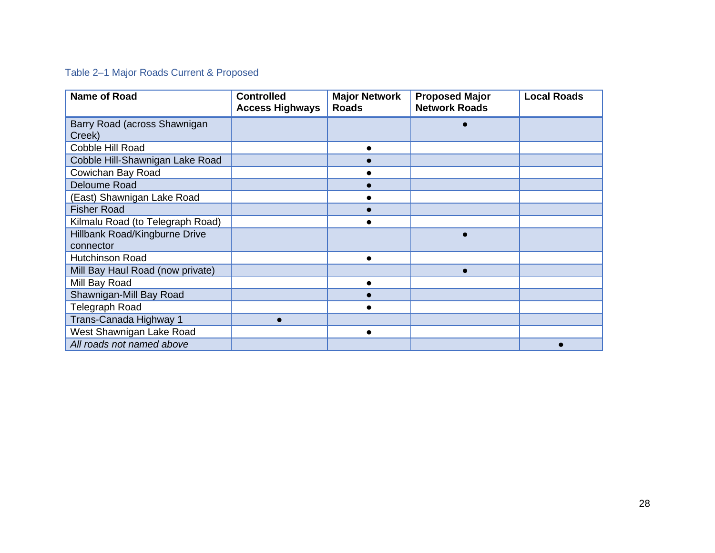# <span id="page-29-0"></span>Table 2–1 Major Roads Current & Proposed

| <b>Name of Road</b>                        | <b>Controlled</b><br><b>Access Highways</b> | <b>Major Network</b><br><b>Roads</b> | <b>Proposed Major</b><br><b>Network Roads</b> | <b>Local Roads</b> |
|--------------------------------------------|---------------------------------------------|--------------------------------------|-----------------------------------------------|--------------------|
| Barry Road (across Shawnigan<br>Creek)     |                                             |                                      |                                               |                    |
| Cobble Hill Road                           |                                             |                                      |                                               |                    |
| Cobble Hill-Shawnigan Lake Road            |                                             |                                      |                                               |                    |
| Cowichan Bay Road                          |                                             |                                      |                                               |                    |
| Deloume Road                               |                                             |                                      |                                               |                    |
| (East) Shawnigan Lake Road                 |                                             |                                      |                                               |                    |
| <b>Fisher Road</b>                         |                                             |                                      |                                               |                    |
| Kilmalu Road (to Telegraph Road)           |                                             |                                      |                                               |                    |
| Hillbank Road/Kingburne Drive<br>connector |                                             |                                      |                                               |                    |
| <b>Hutchinson Road</b>                     |                                             | $\bullet$                            |                                               |                    |
| Mill Bay Haul Road (now private)           |                                             |                                      |                                               |                    |
| Mill Bay Road                              |                                             |                                      |                                               |                    |
| Shawnigan-Mill Bay Road                    |                                             |                                      |                                               |                    |
| <b>Telegraph Road</b>                      |                                             |                                      |                                               |                    |
| Trans-Canada Highway 1                     |                                             |                                      |                                               |                    |
| West Shawnigan Lake Road                   |                                             |                                      |                                               |                    |
| All roads not named above                  |                                             |                                      |                                               |                    |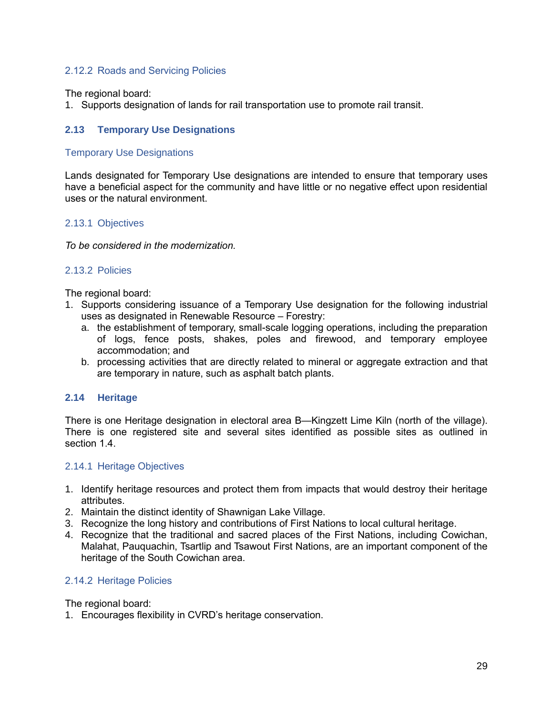## <span id="page-30-0"></span>2.12.2 Roads and Servicing Policies

The regional board:

1. Supports designation of lands for rail transportation use to promote rail transit.

## <span id="page-30-1"></span>**2.13 Temporary Use Designations**

#### Temporary Use Designations

Lands designated for Temporary Use designations are intended to ensure that temporary uses have a beneficial aspect for the community and have little or no negative effect upon residential uses or the natural environment.

#### <span id="page-30-2"></span>2.13.1 Objectives

*To be considered in the modernization.*

## <span id="page-30-3"></span>2.13.2 Policies

The regional board:

- 1. Supports considering issuance of a Temporary Use designation for the following industrial uses as designated in Renewable Resource – Forestry:
	- a. the establishment of temporary, small-scale logging operations, including the preparation of logs, fence posts, shakes, poles and firewood, and temporary employee accommodation; and
	- b. processing activities that are directly related to mineral or aggregate extraction and that are temporary in nature, such as asphalt batch plants.

#### <span id="page-30-4"></span>**2.14 Heritage**

There is one Heritage designation in electoral area B—Kingzett Lime Kiln (north of the village). There is one registered site and several sites identified as possible sites as outlined in section 1.4.

#### <span id="page-30-5"></span>2.14.1 Heritage Objectives

- 1. Identify heritage resources and protect them from impacts that would destroy their heritage attributes.
- 2. Maintain the distinct identity of Shawnigan Lake Village.
- 3. Recognize the long history and contributions of First Nations to local cultural heritage.
- 4. Recognize that the traditional and sacred places of the First Nations, including Cowichan, Malahat, Pauquachin, Tsartlip and Tsawout First Nations, are an important component of the heritage of the South Cowichan area.

#### <span id="page-30-6"></span>2.14.2 Heritage Policies

The regional board:

1. Encourages flexibility in CVRD's heritage conservation.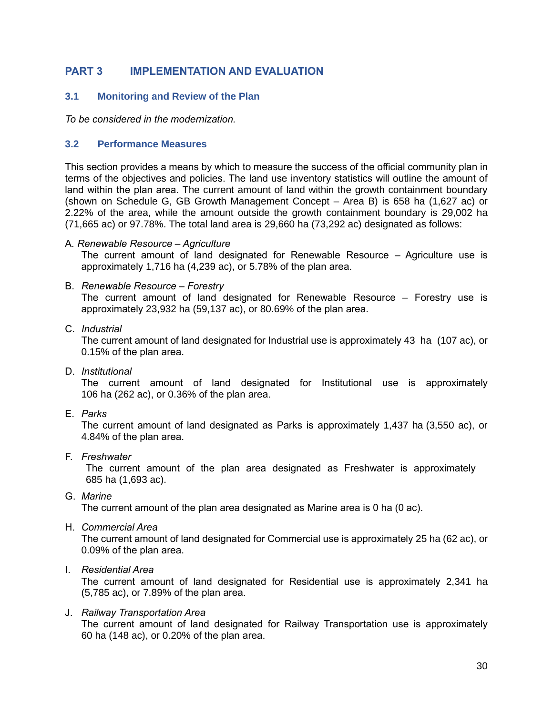# <span id="page-31-0"></span>**PART 3 IMPLEMENTATION AND EVALUATION**

## <span id="page-31-1"></span>**3.1 Monitoring and Review of the Plan**

*To be considered in the modernization.* 

#### <span id="page-31-2"></span>**3.2 Performance Measures**

This section provides a means by which to measure the success of the official community plan in terms of the objectives and policies. The land use inventory statistics will outline the amount of land within the plan area. The current amount of land within the growth containment boundary (shown on Schedule G, GB Growth Management Concept – Area B) is 658 ha (1,627 ac) or 2.22% of the area, while the amount outside the growth containment boundary is 29,002 ha (71,665 ac) or 97.78%. The total land area is 29,660 ha (73,292 ac) designated as follows:

A*. Renewable Resource – Agriculture*

The current amount of land designated for Renewable Resource – Agriculture use is approximately 1,716 ha (4,239 ac), or 5.78% of the plan area.

B. *Renewable Resource – Forestry*

The current amount of land designated for Renewable Resource – Forestry use is approximately 23,932 ha (59,137 ac), or 80.69% of the plan area.

C. *Industrial*

The current amount of land designated for Industrial use is approximately 43 ha (107 ac), or 0.15% of the plan area.

D. *Institutional*

The current amount of land designated for Institutional use is approximately 106 ha (262 ac), or 0.36% of the plan area.

E. *Parks*

The current amount of land designated as Parks is approximately 1,437 ha (3,550 ac), or 4.84% of the plan area.

F. *Freshwater*

The current amount of the plan area designated as Freshwater is approximately 685 ha (1,693 ac).

G. *Marine*

The current amount of the plan area designated as Marine area is 0 ha (0 ac).

H. *Commercial Area*

The current amount of land designated for Commercial use is approximately 25 ha (62 ac), or 0.09% of the plan area.

#### I. *Residential Area*

The current amount of land designated for Residential use is approximately 2,341 ha (5,785 ac), or 7.89% of the plan area.

J. *Railway Transportation Area*

The current amount of land designated for Railway Transportation use is approximately 60 ha (148 ac), or 0.20% of the plan area.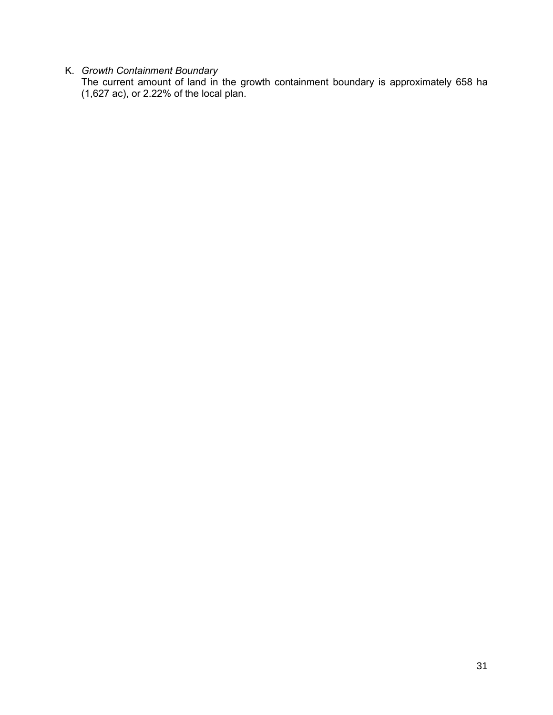## K. *Growth Containment Boundary*

The current amount of land in the growth containment boundary is approximately 658 ha (1,627 ac), or 2.22% of the local plan.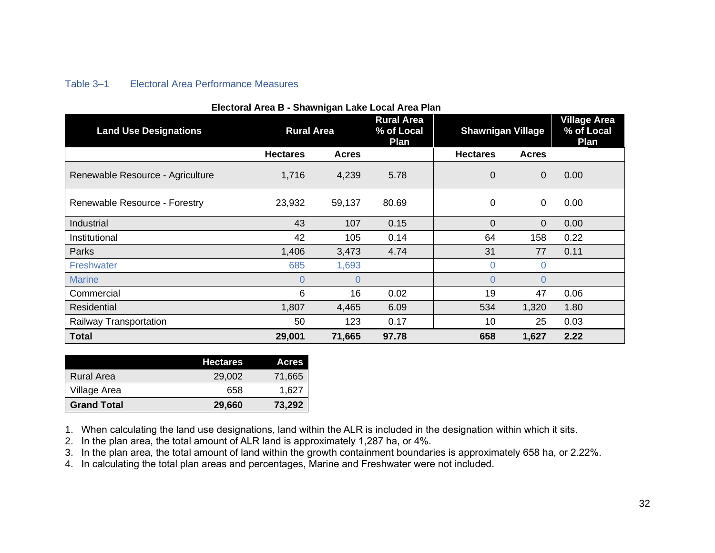# <span id="page-33-0"></span>Table 3–1 Electoral Area Performance Measures

| Electoral Area B - Shawnigan Lake Local Area Plan |                   |                |                                         |                          |                |                                           |
|---------------------------------------------------|-------------------|----------------|-----------------------------------------|--------------------------|----------------|-------------------------------------------|
| <b>Land Use Designations</b>                      | <b>Rural Area</b> |                | <b>Rural Area</b><br>% of Local<br>Plan | <b>Shawnigan Village</b> |                | <b>Village Area</b><br>% of Local<br>Plan |
|                                                   | <b>Hectares</b>   | <b>Acres</b>   |                                         | <b>Hectares</b>          | <b>Acres</b>   |                                           |
| Renewable Resource - Agriculture                  | 1,716             | 4,239          | 5.78                                    | 0                        | $\overline{0}$ | 0.00                                      |
| Renewable Resource - Forestry                     | 23,932            | 59,137         | 80.69                                   | 0                        | $\mathbf 0$    | 0.00                                      |
| Industrial                                        | 43                | 107            | 0.15                                    | 0                        | $\overline{0}$ | 0.00                                      |
| Institutional                                     | 42                | 105            | 0.14                                    | 64                       | 158            | 0.22                                      |
| Parks                                             | 1,406             | 3,473          | 4.74                                    | 31                       | 77             | 0.11                                      |
| Freshwater                                        | 685               | 1,693          |                                         | 0                        | 0              |                                           |
| <b>Marine</b>                                     | $\Omega$          | $\overline{0}$ |                                         | $\Omega$                 | $\overline{0}$ |                                           |
| Commercial                                        | 6                 | 16             | 0.02                                    | 19                       | 47             | 0.06                                      |
| Residential                                       | 1,807             | 4,465          | 6.09                                    | 534                      | 1,320          | 1.80                                      |
| Railway Transportation                            | 50                | 123            | 0.17                                    | 10                       | 25             | 0.03                                      |
| <b>Total</b>                                      | 29,001            | 71,665         | 97.78                                   | 658                      | 1,627          | 2.22                                      |

#### **Electoral Area B - Shawnigan Lake Local Area Plan**

|                    | <b>Hectares</b> | <b>Acres</b> |
|--------------------|-----------------|--------------|
| Rural Area         | 29,002          | 71,665       |
| Village Area       | 658             | 1.627        |
| <b>Grand Total</b> | 29,660          | 73,292       |

1. When calculating the land use designations, land within the ALR is included in the designation within which it sits.

2. In the plan area, the total amount of ALR land is approximately 1,287 ha, or 4%.

3. In the plan area, the total amount of land within the growth containment boundaries is approximately 658 ha, or 2.22%.

4. In calculating the total plan areas and percentages, Marine and Freshwater were not included.